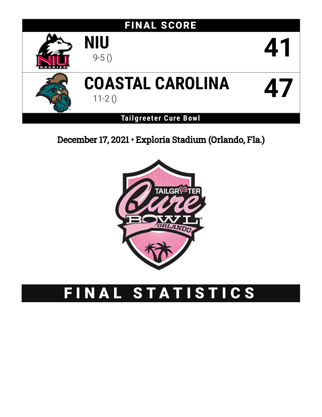







# **COASTAL CAROLINA** 11-2 () **47**

**Tailgreeter Cure Bowl**

December 17, 2021 • Exploria Stadium (Orlando, Fla.)



# FINAL STATISTICS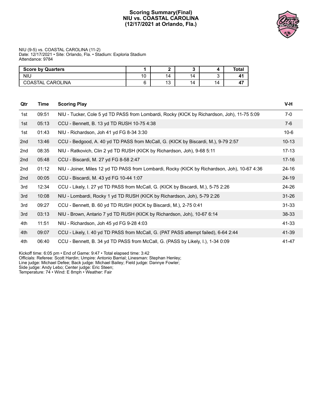#### **Scoring Summary(Final) NIU vs. COASTAL CAROLINA (12/17/2021 at Orlando, Fla.)**



#### NIU (9-5) vs. COASTAL CAROLINA (11-2) Date: 12/17/2021 • Site: Orlando, Fla. • Stadium: Exploria Stadium Attendance: 9784

| <b>Score by Quarters</b> |    |                       |    |    | Total |
|--------------------------|----|-----------------------|----|----|-------|
| <b>NIU</b>               | 10 | 14                    | 14 |    | л.    |
| COASTAL CAROLINA         |    | $\overline{A}$<br>ن ا | 14 | 14 | --    |

| Qtr | <b>Time</b> | <b>Scoring Play</b>                                                                          | V-H       |
|-----|-------------|----------------------------------------------------------------------------------------------|-----------|
| 1st | 09:51       | NIU - Tucker, Cole 5 yd TD PASS from Lombardi, Rocky (KICK by Richardson, Joh), 11-75 5:09   | $7-0$     |
| 1st | 05:13       | CCU - Bennett, B. 13 yd TD RUSH 10-75 4:38                                                   | $7-6$     |
| 1st | 01:43       | NIU - Richardson, Joh 41 yd FG 8-34 3:30                                                     | $10-6$    |
| 2nd | 13:46       | CCU - Bedgood, A. 40 yd TD PASS from McCall, G. (KICK by Biscardi, M.), 9-79 2:57            | $10 - 13$ |
| 2nd | 08:35       | NIU - Ratkovich, Clin 2 yd TD RUSH (KICK by Richardson, Joh), 9-68 5:11                      | $17 - 13$ |
| 2nd | 05:48       | CCU - Biscardi, M. 27 yd FG 8-58 2:47                                                        | $17 - 16$ |
| 2nd | 01:12       | NIU - Joiner, Miles 12 yd TD PASS from Lombardi, Rocky (KICK by Richardson, Joh), 10-67 4:36 | $24 - 16$ |
| 2nd | 00:05       | CCU - Biscardi, M. 43 yd FG 10-44 1:07                                                       | $24 - 19$ |
| 3rd | 12:34       | CCU - Likely, I. 27 yd TD PASS from McCall, G. (KICK by Biscardi, M.), 5-75 2:26             | 24-26     |
| 3rd | 10:08       | NIU - Lombardi, Rocky 1 yd TD RUSH (KICK by Richardson, Joh), 5-79 2:26                      | $31 - 26$ |
| 3rd | 09:27       | CCU - Bennett, B. 60 yd TD RUSH (KICK by Biscardi, M.), 2-75 0:41                            | $31 - 33$ |
| 3rd | 03:13       | NIU - Brown, Antario 7 yd TD RUSH (KICK by Richardson, Joh), 10-67 6:14                      | 38-33     |
| 4th | 11:51       | NIU - Richardson, Joh 45 yd FG 9-28 4:03                                                     | 41-33     |
| 4th | 09:07       | CCU - Likely, I. 40 yd TD PASS from McCall, G. (PAT PASS attempt failed), 6-64 2:44          | 41-39     |
| 4th | 06:40       | CCU - Bennett, B. 34 yd TD PASS from McCall, G. (PASS by Likely, I.), 1-34 0:09              | 41-47     |

Kickoff time: 6:05 pm • End of Game: 9:47 • Total elapsed time: 3:42

Officials: Referee: Scott Hardin; Umpire: Antonio Barrial; Linesman: Stephan Henley;

Line judge: Michael Defee; Back judge: Michael Bailey; Field judge: Dannye Fowler;

Side judge: Andy Lebo; Center judge: Eric Steen;

Temperature: 74 • Wind: E 8mph • Weather: Fair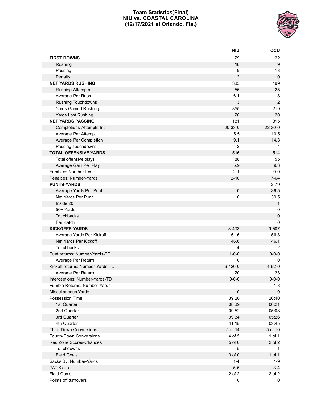#### **Team Statistics(Final) NIU vs. COASTAL CAROLINA (12/17/2021 at Orlando, Fla.)**



|                                  | <b>NIU</b>     | CCU              |
|----------------------------------|----------------|------------------|
| <b>FIRST DOWNS</b>               | 29             | 22               |
| Rushing                          | 18             | $\boldsymbol{9}$ |
| Passing                          | 9              | 13               |
| Penalty                          | $\overline{c}$ | $\mathbf 0$      |
| <b>NET YARDS RUSHING</b>         | 335            | 199              |
| <b>Rushing Attempts</b>          | 55             | 25               |
| Average Per Rush                 | 6.1            | 8                |
| <b>Rushing Touchdowns</b>        | 3              | $\boldsymbol{2}$ |
| <b>Yards Gained Rushing</b>      | 355            | 219              |
| Yards Lost Rushing               | 20             | 20               |
| <b>NET YARDS PASSING</b>         | 181            | 315              |
| Completions-Attempts-Int         | $20 - 33 - 0$  | $22 - 30 - 0$    |
| Average Per Attempt              | 5.5            | 10.5             |
| Average Per Completion           | 9.1            | 14.3             |
| Passing Touchdowns               | $\overline{2}$ | 4                |
| <b>TOTAL OFFENSIVE YARDS</b>     | 516            | 514              |
| Total offensive plays            | 88             | 55               |
| Average Gain Per Play            | 5.9            | 9.3              |
| Fumbles: Number-Lost             | $2 - 1$        | $0-0$            |
| Penalties: Number-Yards          | $2 - 10$       | $7 - 64$         |
| <b>PUNTS-YARDS</b>               |                | $2 - 79$         |
| Average Yards Per Punt           | 0              | 39.5             |
| Net Yards Per Punt               | 0              | 39.5             |
| Inside 20                        |                | $\mathbf{1}$     |
| 50+ Yards                        |                | 0                |
| <b>Touchbacks</b>                |                | $\pmb{0}$        |
| Fair catch                       |                | $\Omega$         |
| <b>KICKOFFS-YARDS</b>            | 8-493          | 9-507            |
| Average Yards Per Kickoff        | 61.6           | 56.3             |
| Net Yards Per Kickoff            | 46.6           | 46.1             |
| <b>Touchbacks</b>                | 4              | $\overline{2}$   |
| Punt returns: Number-Yards-TD    | $1 - 0 - 0$    | $0 - 0 - 0$      |
| Average Per Return               | 0              | 0                |
| Kickoff returns: Number-Yards-TD | $6 - 120 - 0$  | $4 - 92 - 0$     |
| Average Per Return               | 20             | 23               |
| Interceptions: Number-Yards-TD   | $0 - 0 - 0$    | $0 - 0 - 0$      |
| Fumble Returns: Number-Yards     |                | $1 - 8$          |
| Miscellaneous Yards              | 0              | $\mathbf 0$      |
| Possession Time                  | 39:20          | 20:40            |
| 1st Quarter                      | 08:39          | 06:21            |
| 2nd Quarter                      | 09:52          | 05:08            |
| 3rd Quarter                      | 09:34          | 05:26            |
| 4th Quarter                      | 11:15          | 03:45            |
| <b>Third-Down Conversions</b>    | 5 of 14        | 5 of 10          |
| Fourth-Down Conversions          | 4 of 5         | 1 of 1           |
| Red Zone Scores-Chances          | 5 of 6         | 2 of 2           |
| <b>Touchdowns</b>                | 5              | $\mathbf{1}$     |
| <b>Field Goals</b>               | $0$ of $0$     | 1 of 1           |
| Sacks By: Number-Yards           | $1 - 4$        | $1-9$            |
| <b>PAT Kicks</b>                 | $5-5$          | $3 - 4$          |
| <b>Field Goals</b>               | 2 of 2         | 2 of 2           |
| Points off turnovers             | 0              | 0                |
|                                  |                |                  |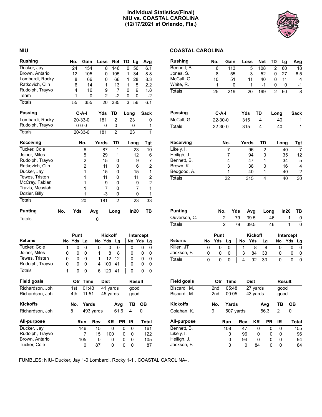#### **Individual Statistics(Final) NIU vs. COASTAL CAROLINA (12/17/2021 at Orlando, Fla.)**



#### **NIU COASTAL CAROLINA**

| <b>Rushing</b>  |     | No.                | Gain           |       | Loss           | <b>Net</b>     | TD   | Lg             | Avg            |
|-----------------|-----|--------------------|----------------|-------|----------------|----------------|------|----------------|----------------|
| Ducker, Jay     |     | 24                 | 154            |       | 8              | 146            | 0    | 56             | 6.1            |
| Brown, Antario  |     | 12                 | 105            |       | 0              | 105            | 1    | 34             | 8.8            |
| Lombardi, Rocky |     | 8                  | 66             |       | 0              | 66             | 1    | 28             | 8.3            |
| Ratkovich, Clin |     | 6                  | 14             |       | 1              | 13             | 1    | 5              | 2.2            |
| Rudolph, Trayvo |     | 4                  | 16             |       | 9              | 7              | 0    | 9              | 1.8            |
| Team            |     | 1                  | 0              |       | $\overline{2}$ | $-2$           | 0    | 0              | -2             |
| <b>Totals</b>   |     | 55                 | 355            |       | 20             | 335            | 3    | 56             | 6.1            |
| Passing         |     |                    | C-A-I          |       | Yds            | TD             | Long |                | Sack           |
| Lombardi, Rocky |     |                    | $20 - 33 - 0$  |       | 181            | $\overline{2}$ |      | 23             | 0              |
| Rudolph, Trayvo |     |                    | $0 - 0 - 0$    |       | 0              | 0              |      | 0              | 1              |
| <b>Totals</b>   |     |                    | $20 - 33 - 0$  |       | 181            | $\overline{2}$ |      | 23             | $\overline{1}$ |
| Receiving       |     |                    | No.            | Yards |                | <b>TD</b>      |      | Long           | Tgt            |
| Tucker, Cole    |     |                    | 6              |       | 87             | 1              |      | 23             | 10             |
| Joiner, Miles   |     |                    | 5              |       | 29             | 1              |      | 12             | 6              |
| Rudolph, Trayvo |     |                    | 2              |       | 15             | 0              |      | 9              | 7              |
| Ratkovich, Clin |     |                    | $\overline{2}$ |       | 11             | 0              |      | 6              | 2              |
| Ducker, Jay     |     |                    | $\mathbf{1}$   |       | 15             | 0              |      | 15             | 1              |
| Tewes, Tristen  |     |                    | 1              |       | 11             | 0              |      | 11             | 2              |
| McCray, Fabian  |     |                    | 1              |       | 9              | 0              |      | 9              | $\overline{c}$ |
| Travis, Messiah |     |                    | 1              |       | $\overline{7}$ | 0              |      | $\overline{7}$ | 1              |
| Dozier, Billy   |     |                    | 1              |       | $-3$           | 0              |      | 0              | 1              |
| <b>Totals</b>   |     |                    | 20             |       | 181            | $\overline{2}$ |      | 23             | 33             |
| <b>Punting</b>  | No. | Yds                |                | Avg   |                | Long           |      | In20           | ΤВ             |
| <b>Totals</b>   |     |                    |                | 0     |                |                |      |                |                |
|                 |     |                    |                |       |                |                |      |                |                |
| <b>Returns</b>  |     | Punt<br><b>Yds</b> |                |       | No Yds         | <b>Kickoff</b> |      |                | Intercept      |
|                 | No  |                    | Lg             |       |                | Lg             |      |                | No Yds Lg      |

Tucker, Cole 1 0 0 1 0 0 0 1 0 0 0 0 Joiner, Miles 0 0 0 1 8 8 0 0 0 Tewes, Tristen 0 0 0 1 1 12 12 0 0 0 Rudolph, Trayvo 0 0 0 4 100 41 0 0 0 Totals 1 0 0 6 120 41 0 0 0

**Field goals Qtr Time Dist Result** Richardson, Joh 1st 01:43 41 yards good<br>Richardson, Joh 4th 11:51 45 yards good Richardson, Joh 4th 11:51 45 yards good

**Kickoffs No. Yards Avg TB OB** Richardson, Joh 8 493 yards 61.6 4 0

**All-purpose Run Rcv KR PR IR Total** Ducker, Jay 146 15 0 0 0 161<br>Rudolph, Trayvo 7 15 100 0 0 122 Rudolph, Trayvo 7 15 100 0 0 122<br>Brown, Antario 105 0 0 0 0 105 Brown, Antario 105 0 0 0 0 105<br>Tucker, Cole 0 87 0 0 0 87

Tucker, Cole 0 0

| White, R.     | 1             | 0   | 1     | $-1$ | 0    | 0    | $-1$        |
|---------------|---------------|-----|-------|------|------|------|-------------|
| <b>Totals</b> | 25            | 219 | 20    | 199  | 2    | 60   | 8           |
|               |               |     |       |      |      |      |             |
| Passing       | C-A-I         |     | Yds   | TD   | Long |      | <b>Sack</b> |
| McCall, G.    | $22 - 30 - 0$ |     | 315   | 4    |      | 40   | 1           |
| <b>Totals</b> | $22 - 30 - 0$ |     | 315   | 4    |      | 40   | 1           |
| Receiving     |               | No. | Yards | TD   |      | Long | Tgt         |
| Likely, I.    |               | 7   | 96    | 2    |      | 40   | 7           |
| Heiligh, J.   |               | 7   | 94    | 0    |      | 35   | 12          |
| Bennett, B.   |               | 4   | 47    | 1    |      | 34   | 5           |
| Brown, K.     |               | 3   | 38    | ŋ    |      | 16   | 4           |
| Bedgood, A.   |               | 1   | 40    | 1    |      | 40   | 2           |

**Rushing No. Gain Loss Net TD Lg Avg** Bennett, B. 6 113 5 108 2 60 18 Jones, S. 8 55 3 52 0 27 6.5 McCall, G. 10 51 11 40 0 11 4

| <b>Punting</b> | No. |    | Yds Avg | Long | ln20 | TB. |
|----------------|-----|----|---------|------|------|-----|
| Ouverson, C.   |     | 79 | - 39.5  | 46   |      |     |
| <b>Totals</b>  |     | 79 | 39.5    | 46   |      |     |

Totals 22 315 4 40 30

|                |    | Punt |    |  |    | <b>Kickoff</b> |    |    | Intercept |  |  |  |
|----------------|----|------|----|--|----|----------------|----|----|-----------|--|--|--|
| <b>Returns</b> | No | Yds  | La |  | No | Yds            | La | No | Yds Lg    |  |  |  |
| Killen, JT     |    |      |    |  |    |                |    |    |           |  |  |  |
| Jackson, F.    |    |      |    |  | 3  | 84             | 33 |    |           |  |  |  |
| Totals         |    |      |    |  | 4  | 92             | 33 |    |           |  |  |  |

| <b>Field goals</b> | Qtr | Time  |           | Dist     |           | <b>Result</b> |       |  |
|--------------------|-----|-------|-----------|----------|-----------|---------------|-------|--|
| Biscardi, M.       | 2nd | 05:48 |           | 27 yards |           | qood          |       |  |
| Biscardi, M.       | 2nd | 00:05 |           | 43 yards |           | qood          |       |  |
| <b>Kickoffs</b>    | No. | Yards |           |          | Avg       | ΤВ            | OВ    |  |
| Colahan, K.        | 9   |       | 507 yards | 56.3     |           | 2             | 0     |  |
| All-purpose        |     | Run   | Rcv       | KR       | <b>PR</b> | ΙR            | Total |  |
| Bennett, B.        |     | 108   | 47        | 0        | 0         | 0             | 155   |  |
| Likely, I.         |     | 0     | 96        | 0        | 0         | 0             | 96    |  |
| Heiligh, J.        |     | 0     | 94        | 0        | 0         | 0             | 94    |  |
| Jackson, F.        |     | 0     | 0         | 84       | 0         | 0             | 84    |  |

FUMBLES: NIU- Ducker, Jay 1-0 Lombardi, Rocky 1-1 . COASTAL CAROLINA- .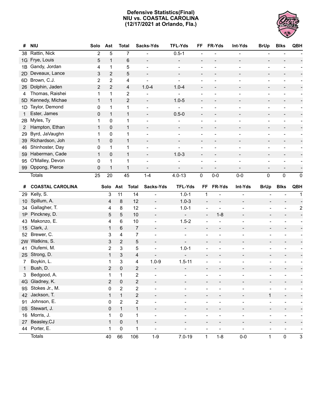#### **Defensive Statistics(Final) NIU vs. COASTAL CAROLINA (12/17/2021 at Orlando, Fla.)**



| #              | <b>NIU</b>                  | Solo         | Ast            | <b>Total</b>            |                | Sacks-Yds                | <b>TFL-Yds</b>               | FF                                           | FR-Yds                    | Int-Yds                           | <b>BrUp</b>                                 | <b>Blks</b>                               | QBH                     |
|----------------|-----------------------------|--------------|----------------|-------------------------|----------------|--------------------------|------------------------------|----------------------------------------------|---------------------------|-----------------------------------|---------------------------------------------|-------------------------------------------|-------------------------|
| 38             | Rattin, Nick                | 2            | 5              | 7                       |                |                          | $0.5 - 1$                    |                                              |                           |                                   |                                             |                                           |                         |
| 1G             | Frye, Louis                 | 5            | $\mathbf{1}$   | 6                       |                | $\overline{a}$           | $\overline{\phantom{a}}$     |                                              |                           |                                   | $\overline{a}$                              |                                           |                         |
| 1B             | Gandy, Jordan               | 4            | $\mathbf{1}$   | 5                       |                | $\overline{a}$           |                              | $\overline{\phantom{a}}$                     | L,                        |                                   | $\overline{a}$                              |                                           |                         |
| 2D             | Deveaux, Lance              | 3            | $\mathbf{2}$   | 5                       |                | $\overline{\phantom{a}}$ |                              |                                              |                           |                                   | $\overline{\phantom{a}}$                    |                                           |                         |
| 6D             | Brown, C.J.                 | 2            | 2              | 4                       |                |                          | $\mathbf{r}$                 |                                              |                           |                                   | ÷                                           |                                           |                         |
| 26             | Dolphin, Jaden              | $\sqrt{2}$   | $\overline{2}$ | 4                       |                | $1.0 - 4$                | $1.0 - 4$                    |                                              |                           |                                   | $\overline{\phantom{a}}$                    |                                           |                         |
| 4              | Thomas, Raishei             | 1            | $\mathbf{1}$   | $\overline{\mathbf{c}}$ |                |                          |                              |                                              |                           |                                   | $\overline{a}$                              |                                           |                         |
| 5D             | Kennedy, Michae             | $\mathbf{1}$ | $\mathbf{1}$   | $\overline{c}$          |                | $\frac{1}{2}$            | $1.0 - 5$                    | $\overline{a}$                               |                           |                                   | $\overline{\phantom{a}}$                    |                                           |                         |
| 1D             | Taylor, Demond              | 0            | 1              | 1                       |                | ÷                        |                              |                                              | $\overline{a}$            |                                   | $\qquad \qquad -$                           |                                           |                         |
| 1              | Ester, James                | $\mathbf 0$  | $\mathbf{1}$   | $\mathbf{1}$            |                | $\frac{1}{2}$            | $0.5 - 0$                    |                                              |                           |                                   | $\overline{\phantom{0}}$                    | $\overline{a}$                            |                         |
| 2B             | Myles, Ty                   | 1            | 0              | 1                       |                |                          |                              |                                              |                           |                                   | $\overline{a}$                              |                                           |                         |
| $\overline{2}$ | Hampton, Ethan              | $\mathbf{1}$ | 0              | $\mathbf{1}$            |                | $\overline{a}$           | $\overline{\phantom{a}}$     |                                              |                           |                                   | $\overline{\phantom{m}}$                    | $\overline{\phantom{a}}$                  |                         |
| 29             | Byrd, JaVaughn              | 1            | 0              | 1                       |                |                          |                              |                                              |                           |                                   | $\overline{a}$                              |                                           |                         |
| 39             | Richardson, Joh             | $\mathbf{1}$ | 0              | $\mathbf{1}$            |                | $\overline{\phantom{a}}$ |                              |                                              |                           |                                   | $\overline{\phantom{a}}$                    |                                           |                         |
| 46             | Shinhoster, Day             | $\pmb{0}$    | $\mathbf{1}$   | 1                       |                |                          |                              |                                              |                           |                                   | $\overline{a}$                              |                                           |                         |
| 59             | Haberman, Cade              | $\mathbf{1}$ | 0              | $\mathbf{1}$            |                |                          | $1.0 - 3$                    |                                              |                           |                                   | $\overline{a}$                              |                                           |                         |
| 95             | O'Malley, Devon             | 0            | 1              | 1                       |                | ÷                        |                              |                                              | $\blacksquare$            |                                   | $\qquad \qquad -$                           | $\blacksquare$                            |                         |
| 99             | Oppong, Pierce              | 0            | $\mathbf{1}$   | $\mathbf{1}$            |                | $\overline{a}$           |                              |                                              | $\overline{a}$            |                                   | $\overline{a}$                              | $\overline{\phantom{a}}$                  |                         |
|                | <b>Totals</b>               | 25           | 20             | 45                      |                | $1 - 4$                  | $4.0 - 13$                   | $\mathbf 0$                                  | $0-0$                     | $0-0$                             | 0                                           | 0                                         | $\mathbf 0$             |
| #              | <b>COASTAL CAROLINA</b>     |              | Solo Ast       |                         | <b>Total</b>   | Sacks-Yds                | <b>TFL-Yds</b>               | FF                                           | FR-Yds                    | Int-Yds                           | <b>BrUp</b>                                 | <b>Blks</b>                               | QBH                     |
| 29             | Kelly, S.                   |              | 3              | 11                      | 14             |                          | $1.0 - 1$                    | 1                                            |                           |                                   |                                             |                                           | 1                       |
| 10             | Spillum, A.                 |              | 4              | 8                       | 12             | $\overline{\phantom{a}}$ | $1.0 - 3$                    | $\overline{\phantom{a}}$                     | $\overline{\phantom{a}}$  | $\overline{\phantom{a}}$          | $\overline{\phantom{a}}$                    |                                           |                         |
| 34             | Gallagher, T.               |              | 4              | 8                       | 12             | $\overline{\phantom{a}}$ | $1.0 - 1$                    | $\overline{\phantom{a}}$                     | $\overline{a}$            |                                   |                                             |                                           | $\overline{\mathbf{c}}$ |
| 1P             | Pinckney, D.                |              | 5              | 5                       | $10$           | $\overline{\phantom{a}}$ | $\qquad \qquad \blacksquare$ | $\overline{\phantom{m}}$                     | $1 - 8$                   |                                   | $\overline{\phantom{a}}$                    |                                           |                         |
| 43             | Makonzo, E.                 |              | 4              | 6                       | 10             | $\overline{\phantom{a}}$ | $1.5 - 2$                    |                                              |                           |                                   |                                             |                                           |                         |
| 15             | Clark, J.                   |              | 1              | 6                       | $\overline{7}$ |                          | $\overline{\phantom{a}}$     | $\overline{\phantom{a}}$                     |                           |                                   |                                             | $\qquad \qquad \blacksquare$              |                         |
| 52             | Brewer, C.                  |              | 3              | 4                       | 7              | $\overline{\phantom{a}}$ |                              | $\overline{a}$                               |                           |                                   | $\overline{\phantom{a}}$                    |                                           |                         |
| 2W             | Watkins, S.                 |              | 3              | 2                       | 5              | $\overline{\phantom{a}}$ | $\overline{a}$               |                                              |                           |                                   |                                             |                                           |                         |
| 41             | Olufemi, M.                 |              | $\overline{c}$ | 3                       | 5              |                          | $1.0 - 1$                    |                                              |                           |                                   |                                             |                                           |                         |
| 2S             | Strong, D.                  |              | $\mathbf{1}$   | 3                       | 4              | $\overline{\phantom{a}}$ | $\overline{\phantom{a}}$     |                                              | $\overline{\phantom{a}}$  |                                   |                                             |                                           |                         |
| 7              | Boykin, L.                  |              | 1              | 3                       | 4              | $1.0 - 9$                | $1.5 - 11$                   | $\overline{\phantom{a}}$                     |                           |                                   |                                             |                                           |                         |
| 1              | Bush, D.                    |              | 2              | 0                       | 2              |                          |                              |                                              |                           |                                   |                                             |                                           |                         |
| 3              | Bedgood, A.                 |              | $\mathbf{1}$   | $\mathbf{1}$            | $\overline{2}$ |                          |                              |                                              |                           |                                   |                                             |                                           |                         |
|                | 4G Gladney, K.              |              | 2              | 0                       | 2              |                          |                              |                                              |                           |                                   |                                             |                                           |                         |
|                | 9S Stokes Jr., M.           |              | 0              | $\overline{2}$          | 2              | $\overline{\phantom{0}}$ |                              |                                              |                           | $\overline{\phantom{0}}$          |                                             |                                           |                         |
| 42             | Jackson, T.                 |              | $\mathbf{1}$   | $\mathbf{1}$            | $\overline{2}$ | $\overline{\phantom{a}}$ |                              |                                              | $\overline{a}$            | $\overline{\phantom{a}}$          | $\mathbf{1}$                                | $\overline{\phantom{a}}$                  |                         |
| 91             | Johnson, E.                 |              | 0              | $\overline{2}$          | 2              | $\blacksquare$           |                              | ÷                                            | $\overline{a}$            | $\blacksquare$                    | $\qquad \qquad -$                           | $\qquad \qquad \blacksquare$              |                         |
| OS             | Stewart, J.                 |              | 0              | $\mathbf{1}$            | $\mathbf{1}$   | $\overline{\phantom{a}}$ | $\overline{a}$               |                                              | $\overline{\phantom{a}}$  | $\overline{\phantom{a}}$          | $\overline{\phantom{a}}$                    | $\overline{\phantom{a}}$                  |                         |
| 16             | Morris, J.                  |              | 1              | 0                       |                |                          |                              |                                              |                           |                                   | $\overline{\phantom{a}}$                    | $\overline{\phantom{a}}$                  |                         |
|                |                             |              |                |                         | 1              | $\overline{\phantom{a}}$ | ÷                            | $\overline{\phantom{a}}$                     | $\overline{\phantom{a}}$  | $\overline{\phantom{a}}$          |                                             |                                           |                         |
| 27             | Beasley, CJ                 |              | $\mathbf{1}$   | 0                       | $\mathbf{1}$   | $\overline{\phantom{a}}$ | $\overline{a}$               | $\overline{\phantom{a}}$                     | $\overline{a}$            | $\overline{\phantom{a}}$          | $\overline{\phantom{a}}$                    | $\qquad \qquad \blacksquare$              |                         |
| 44             | Porter, E.<br><b>Totals</b> |              | 1<br>40        | 0<br>66                 | 1<br>106       | $\blacksquare$<br>$1-9$  | $7.0 - 19$                   | $\qquad \qquad \blacksquare$<br>$\mathbf{1}$ | $\overline{a}$<br>$1 - 8$ | $\overline{\phantom{0}}$<br>$0-0$ | $\qquad \qquad \blacksquare$<br>$\mathbf 1$ | $\qquad \qquad \blacksquare$<br>$\pmb{0}$ | $\mathsf 3$             |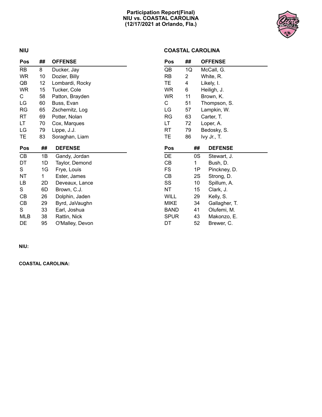#### **Participation Report(Final) NIU vs. COASTAL CAROLINA (12/17/2021 at Orlando, Fla.)**



#### **NIU**

#### **COASTAL CAROLINA**

| Pos        | ##              | <b>OFFENSE</b>  | Pos         | ## |                 | <b>OFFENSE</b> |  |
|------------|-----------------|-----------------|-------------|----|-----------------|----------------|--|
| <b>RB</b>  | 8               | Ducker, Jay     | QB          | 1Q |                 | McCall, G.     |  |
| <b>WR</b>  | 10              | Dozier, Billy   | RB          | 2  |                 | White, R.      |  |
| QB         | 12 <sub>2</sub> | Lombardi, Rocky | TE.         | 4  |                 | Likely, I.     |  |
| <b>WR</b>  | 15              | Tucker, Cole    | WR          | 6  |                 | Heiligh, J.    |  |
| C.         | 58              | Patton, Brayden | WR          | 11 |                 | Brown, K.      |  |
| LG         | 60              | Buss, Evan      | C           | 51 |                 | Thompson, S.   |  |
| <b>RG</b>  | 65              | Zschernitz, Log | LG          | 57 |                 | Lampkin, W.    |  |
| <b>RT</b>  | 69              | Potter, Nolan   | RG          | 63 |                 | Carter, T.     |  |
| LT         | 70              | Cox, Marques    | LT          | 72 |                 | Loper, A.      |  |
| LG         | 79              | Lippe, J.J.     | RT          | 79 |                 | Bedosky, S.    |  |
| TE.        | 83              | Soraghan, Liam  | TE          | 86 |                 | Ivy Jr., T.    |  |
|            |                 |                 |             |    |                 |                |  |
| Pos        | ##              | <b>DEFENSE</b>  | Pos         |    | ##              | <b>DEFENSE</b> |  |
| CB         | 1B              | Gandy, Jordan   | DE          |    | 0S              | Stewart, J.    |  |
| DT         | 1D              | Taylor, Demond  | CВ          |    | 1               | Bush, D.       |  |
| S          | 1G              | Frye, Louis     | FS          |    | 1P              | Pinckney, D.   |  |
| NT         | 1               | Ester, James    | CВ          |    | 2S              | Strong, D.     |  |
| LB         | 2D              | Deveaux, Lance  | SS          |    | 10 <sup>1</sup> | Spillum, A.    |  |
| S          | 6D              | Brown, C.J.     | NT          |    | 15              | Clark, J.      |  |
| CB         | 26              | Dolphin, Jaden  | <b>WILL</b> |    | 29              | Kelly, S.      |  |
| CB         | 29              | Byrd, JaVaughn  | <b>MIKE</b> |    | 34              | Gallagher, T.  |  |
| S          | 33              | Earl, Joshua    | <b>BAND</b> |    | 41              | Olufemi, M.    |  |
| <b>MLB</b> | 38              | Rattin, Nick    | <b>SPUR</b> |    | 43              | Makonzo, E.    |  |

**NIU:**

**COASTAL CAROLINA:**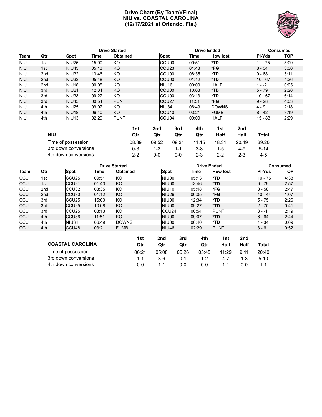#### **Drive Chart (By Team)(Final) NIU vs. COASTAL CAROLINA (12/17/2021 at Orlando, Fla.)**



|            |     |                   |       | <b>Drive Started</b> |                    | <b>Drive Ended</b> |                 | Consumed      |            |  |
|------------|-----|-------------------|-------|----------------------|--------------------|--------------------|-----------------|---------------|------------|--|
| Team       | Qtr | <b>Spot</b>       | Time  | <b>Obtained</b>      | Spot               | Time               | <b>How lost</b> | <b>PI-Yds</b> | <b>TOP</b> |  |
| <b>NIU</b> | 1st | NIU <sub>25</sub> | 15:00 | KO                   | CCU <sub>00</sub>  | 09:51              | *TD             | 11 - 75       | 5:09       |  |
| <b>NIU</b> | 1st | NIU <sub>43</sub> | 05:13 | <b>KO</b>            | CCU <sub>23</sub>  | 01:43              | *FG             | $8 - 34$      | 3:30       |  |
| <b>NIU</b> | 2nd | NIU <sub>32</sub> | 13:46 | KO                   | CCU <sub>00</sub>  | 08:35              | *TD             | $9 - 68$      | 5:11       |  |
| <b>NIU</b> | 2nd | NIU33             | 05:48 | <b>KO</b>            | CCU <sub>00</sub>  | 01:12              | $*TD$           | $110 - 67$    | 4:36       |  |
| <b>NIU</b> | 2nd | NIU <sub>18</sub> | 00:05 | KO                   | NIU <sub>16</sub>  | 00:00              | <b>HALF</b>     | $1 - -2$      | 0:05       |  |
| <b>NIU</b> | 3rd | NIU <sub>21</sub> | 12:34 | <b>KO</b>            | CCU <sub>00</sub>  | 10:08              | $*TD$           | $5 - 79$      | 2:26       |  |
| <b>NIU</b> | 3rd | NIU33             | 09:27 | KO                   | CCU <sub>00</sub>  | 03:13              | *TD             | $10 - 67$     | 6:14       |  |
| <b>NIU</b> | 3rd | NIU <sub>45</sub> | 00:54 | <b>PUNT</b>          | ICCU <sub>27</sub> | 11:51              | *FG             | $9 - 28$      | 4:03       |  |
| <b>NIU</b> | 4th | NIU <sub>25</sub> | 09:07 | KO                   | NIU34              | 06:49              | <b>DOWNS</b>    | $4 - 9$       | 2:18       |  |
| <b>NIU</b> | 4th | NIU <sub>18</sub> | 06:40 | KO                   | CCU <sub>40</sub>  | 03:21              | <b>FUMB</b>     | $8 - 42$      | 3:19       |  |
| <b>NIU</b> | 4th | NIU <sub>13</sub> | 02:29 | <b>PUNT</b>          | ICCU04             | 00:00              | <b>HALF</b>     | 15 - 83       | 2:29       |  |

|                      | 1st     | 2nd   | 3rd   | 4th     | 1st     | 2nd     |          |
|----------------------|---------|-------|-------|---------|---------|---------|----------|
| <b>NIU</b>           | Qtr     | Qtr   | Qtr   | Qtr     | Half    | Half    | Total    |
| Time of possession   | 08:39   | 09:52 | 09:34 | 11:15   | 18:31   | 20:49   | 39:20    |
| 3rd down conversions | $0 - 3$ | 1-2   | 1-1   | 3-8     | 1-5     | 4-9     | $5 - 14$ |
| 4th down conversions | $2 - 2$ | 0-0   | 0-0   | $2 - 3$ | $2 - 2$ | $2 - 3$ | 4-5      |

|      |                 |                   |       | <b>Drive Started</b> |                   | <b>Drive Ended</b> | Consumed        |               |            |
|------|-----------------|-------------------|-------|----------------------|-------------------|--------------------|-----------------|---------------|------------|
| Team | Qtr             | <b>Spot</b>       | Time  | <b>Obtained</b>      | <b>Spot</b>       | Time               | <b>How lost</b> | <b>PI-Yds</b> | <b>TOP</b> |
| CCU  | 1st             | CCU <sub>25</sub> | 09:51 | KO                   | NIU00             | 05:13              | *TD             | $10 - 75$     | 4:38       |
| CCU  | 1st             | CCU <sub>21</sub> | 01:43 | <b>KO</b>            | NIU00             | 13:46              | *TD             | $9 - 79$      | 2:57       |
| CCU  | 2 <sub>nd</sub> | CCU <sub>32</sub> | 08:35 | KO                   | NIU <sub>10</sub> | 05:48              | *FG             | $8 - 58$      | 2:47       |
| CCU  | 2 <sub>nd</sub> | CCU <sub>30</sub> | 01:12 | <b>KO</b>            | NIU <sub>26</sub> | 00:05              | *FG             | $10 - 44$     | 1:07       |
| CCU  | 3rd             | ICCU25            | 15:00 | KO                   | NIU00             | 12:34              | *TD             | $5 - 75$      | 2:26       |
| CCU  | 3rd             | ICCU25            | 10:08 | <b>KO</b>            | NIU00             | 09:27              | *TD             | $2 - 75$      | 0:41       |
| CCU  | 3rd             | CCU <sub>25</sub> | 03:13 | KO                   | CCU <sub>24</sub> | 00:54              | <b>PUNT</b>     | 3 - -1        | 2:19       |
| CCU  | 4th             | ICCU36            | 11:51 | <b>KO</b>            | NIU00             | 09:07              | *TD             | $6 - 64$      | 2:44       |
| CCU  | 4th             | NIU34             | 06:49 | <b>DOWNS</b>         | NIU00             | 06:40              | *TD             | 1 - 34        | 0:09       |
| CCU  | 4th             | CCU <sub>48</sub> | 03:21 | <b>FUMB</b>          | NIU <sub>46</sub> | 02:29              | <b>PUNT</b>     | $3 - 6$       | 0:52       |

|                         | 1st     | 2nd   | 3rd     | 4th     | 1st     | 2nd     |        |
|-------------------------|---------|-------|---------|---------|---------|---------|--------|
| <b>COASTAL CAROLINA</b> | Qtr     | Qtr   | Qtr     | Qtr     | Half    | Half    | Total  |
| Time of possession      | 06:21   | 05:08 | 05:26   | 03:45   | 11:29   | 9:11    | 20:40  |
| 3rd down conversions    | $1 - 1$ | 3-6   | $0 - 1$ | 1-2     | $4 - 7$ | $1 - 3$ | $5-10$ |
| 4th down conversions    | ი-ი     | 1-1   | ი-ი     | $0 - 0$ | 1-1     | ი-ი     |        |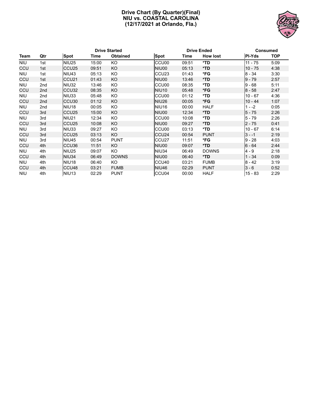#### **Drive Chart (By Quarter)(Final) NIU vs. COASTAL CAROLINA (12/17/2021 at Orlando, Fla.)**



| <b>Drive Started</b> |                 |                   |       | <b>Drive Ended</b> |                   | Consumed |                 |           |            |
|----------------------|-----------------|-------------------|-------|--------------------|-------------------|----------|-----------------|-----------|------------|
| Team                 | Qtr             | <b>Spot</b>       | Time  | <b>Obtained</b>    | <b>Spot</b>       | Time     | <b>How lost</b> | PI-Yds    | <b>TOP</b> |
| <b>NIU</b>           | 1st             | <b>NIU25</b>      | 15:00 | KO                 | CCU <sub>00</sub> | 09:51    | *TD             | $11 - 75$ | 5:09       |
| CCU                  | 1st             | CCU <sub>25</sub> | 09:51 | KO                 | NIU00             | 05:13    | $*TD$           | $10 - 75$ | 4:38       |
| <b>NIU</b>           | 1st             | NIU <sub>43</sub> | 05:13 | KO                 | CCU <sub>23</sub> | 01:43    | *FG             | $8 - 34$  | 3:30       |
| CCU                  | 1st             | CCU <sub>21</sub> | 01:43 | KO                 | NIU00             | 13:46    | *TD             | $9 - 79$  | 2:57       |
| <b>NIU</b>           | 2nd             | NIU32             | 13:46 | KO                 | CCU <sub>00</sub> | 08:35    | *TD             | $9 - 68$  | 5:11       |
| CCU                  | 2 <sub>nd</sub> | CCU <sub>32</sub> | 08:35 | KO                 | <b>NIU10</b>      | 05:48    | *FG             | $8 - 58$  | 2:47       |
| <b>NIU</b>           | 2nd             | NIU33             | 05:48 | KO.                | CCU <sub>00</sub> | 01:12    | *TD             | $10 - 67$ | 4:36       |
| CCU                  | 2 <sub>nd</sub> | CCU <sub>30</sub> | 01:12 | <b>KO</b>          | <b>NIU26</b>      | 00:05    | *FG             | $10 - 44$ | 1:07       |
| <b>NIU</b>           | 2nd             | NIU <sub>18</sub> | 00:05 | KO                 | <b>NIU16</b>      | 00:00    | <b>HALF</b>     | $1 - -2$  | 0:05       |
| CCU                  | 3rd             | CCU <sub>25</sub> | 15:00 | <b>KO</b>          | NIU00             | 12:34    | *TD             | $5 - 75$  | 2:26       |
| <b>NIU</b>           | 3rd             | NIU <sub>21</sub> | 12:34 | KO                 | CCU00             | 10:08    | *TD             | $5 - 79$  | 2:26       |
| CCU                  | 3rd             | CCU <sub>25</sub> | 10:08 | <b>KO</b>          | NIU00             | 09:27    | $*TD$           | $2 - 75$  | 0:41       |
| <b>NIU</b>           | 3rd             | NIU33             | 09:27 | KO                 | CCU00             | 03:13    | *TD             | $10 - 67$ | 6:14       |
| CCU                  | 3rd             | CCU <sub>25</sub> | 03:13 | <b>KO</b>          | CCU <sub>24</sub> | 00:54    | <b>PUNT</b>     | $3 - -1$  | 2:19       |
| <b>NIU</b>           | 3rd             | <b>NIU45</b>      | 00:54 | <b>PUNT</b>        | CCU <sub>27</sub> | 11:51    | *FG             | $9 - 28$  | 4:03       |
| CCU                  | 4th             | CCU <sub>36</sub> | 11:51 | KO                 | NIU00             | 09:07    | $*TD$           | $6 - 64$  | 2:44       |
| <b>NIU</b>           | 4th             | <b>NIU25</b>      | 09:07 | KO                 | <b>NIU34</b>      | 06:49    | <b>DOWNS</b>    | $4 - 9$   | 2:18       |
| CCU                  | 4th             | NIU34             | 06:49 | <b>DOWNS</b>       | NIU00             | 06:40    | $*TD$           | $1 - 34$  | 0:09       |
| <b>NIU</b>           | 4th             | NIU <sub>18</sub> | 06:40 | KO.                | CCU <sub>40</sub> | 03:21    | <b>FUMB</b>     | $8 - 42$  | 3:19       |
| CCU                  | 4th             | CCU <sub>48</sub> | 03:21 | <b>FUMB</b>        | NIU <sub>46</sub> | 02:29    | <b>PUNT</b>     | $3 - 6$   | 0:52       |
| <b>NIU</b>           | 4th             | NIU <sub>13</sub> | 02:29 | <b>PUNT</b>        | CCU <sub>04</sub> | 00:00    | <b>HALF</b>     | $15 - 83$ | 2:29       |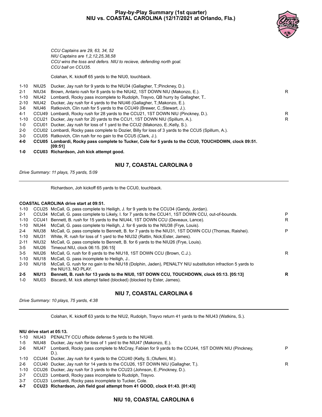#### **Play-by-Play Summary (1st quarter) NIU vs. COASTAL CAROLINA (12/17/2021 at Orlando, Fla.)**



*CCU Captains are 29, 63, 34, 52 NIU Captains are 1,2,12,25,38,58 CCU wins the toss and defers. NIU to recieve, defending north goal. CCU ball on CCU35.*

Colahan, K. kickoff 65 yards to the NIU0, touchback.

| 1-10     | NIU25 | Ducker, Jay rush for 9 yards to the NIU34 (Gallagher, T.; Pinckney, D.).                                        |   |
|----------|-------|-----------------------------------------------------------------------------------------------------------------|---|
| $2 - 1$  | NIU34 | Brown, Antario rush for 8 yards to the NIU42, 1ST DOWN NIU (Makonzo, E.).                                       | R |
| $1 - 10$ | NIU42 | Lombardi, Rocky pass incomplete to Rudolph, Trayvo, QB hurry by Gallagher, T.                                   |   |
| $2 - 10$ | NIU42 | Ducker, Jay rush for 4 yards to the NIU46 (Gallagher, T.; Makonzo, E.).                                         |   |
| 3-6      | NIU46 | Ratkovich, Clin rush for 5 yards to the CCU49 (Brewer, C.; Stewart, J.).                                        |   |
| 4-1      |       | CCU49 Lombardi, Rocky rush for 28 yards to the CCU21, 1ST DOWN NIU (Pinckney, D.).                              | R |
| 1-10     |       | CCU21 Ducker, Jay rush for 20 yards to the CCU1, 1ST DOWN NIU (Spillum, A.).                                    | R |
| 1-0      |       | CCU01 Ducker, Jay rush for loss of 1 yard to the CCU2 (Makonzo, E.; Kelly, S.).                                 |   |
| $2-0$    |       | CCU02 Lombardi, Rocky pass complete to Dozier, Billy for loss of 3 yards to the CCU5 (Spillum, A.).             |   |
| $3-0$    |       | CCU05 Ratkovich, Clin rush for no gain to the CCU5 (Clark, J.).                                                 |   |
| 4-0      |       | CCU05 Lombardi, Rocky pass complete to Tucker, Cole for 5 yards to the CCU0, TOUCHDOWN, clock 09:51.<br>IO9:511 |   |
| $1 - 0$  |       | CCU03 Richardson, Joh kick attempt good.                                                                        |   |

#### **NIU 7, COASTAL CAROLINA 0**

*Drive Summary: 11 plays, 75 yards, 5:09*

Richardson, Joh kickoff 65 yards to the CCU0, touchback.

#### **COASTAL CAROLINA drive start at 09:51.**

| 1-10     |       | CCU25 McCall, G. pass complete to Heiligh, J. for 9 yards to the CCU34 (Gandy, Jordan).                                          |   |
|----------|-------|----------------------------------------------------------------------------------------------------------------------------------|---|
| $2 - 1$  |       | CCU34 McCall, G. pass complete to Likely, I. for 7 yards to the CCU41, 1ST DOWN CCU, out-of-bounds.                              | P |
| 1-10     |       | CCU41 Bennett, B. rush for 15 yards to the NIU44, 1ST DOWN CCU (Deveaux, Lance).                                                 | R |
| 1-10     | NIU44 | McCall, G. pass complete to Heiligh, J. for 6 yards to the NIU38 (Frye, Louis).                                                  |   |
| $2 - 4$  | NIU38 | McCall, G. pass complete to Bennett, B. for 7 yards to the NIU31, 1ST DOWN CCU (Thomas, Raishei).                                | P |
| 1-10     | NIU31 | White, R. rush for loss of 1 yard to the NIU32 (Rattin, Nick; Ester, James).                                                     |   |
| $2 - 11$ | NIU32 | McCall, G. pass complete to Bennett, B. for 6 yards to the NIU26 (Frye, Louis).                                                  |   |
| 3-5      | NIU26 | Timeout NIU, clock 06:15, [06:15]                                                                                                |   |
| $3-5$    | NIU26 | McCall, G. rush for 8 yards to the NIU18, 1ST DOWN CCU (Brown, C.J.).                                                            | R |
| 1-10     | NIU18 | McCall, G. pass incomplete to Heiligh, J                                                                                         |   |
| $2 - 10$ | NIU18 | McCall, G. rush for no gain to the NIU18 (Dolphin, Jaden), PENALTY NIU substitution infraction 5 yards to<br>the NIU13. NO PLAY. |   |
| $2 - 5$  | NIU13 | Bennett, B. rush for 13 yards to the NIU0, 1ST DOWN CCU, TOUCHDOWN, clock 05:13. [05:13]                                         | R |
| $1 - 0$  | NIU03 | Biscardi, M. kick attempt failed (blocked) (blocked by Ester, James).                                                            |   |

#### **NIU 7, COASTAL CAROLINA 6**

*Drive Summary: 10 plays, 75 yards, 4:38*

Colahan, K. kickoff 63 yards to the NIU2, Rudolph, Trayvo return 41 yards to the NIU43 (Watkins, S.).

#### **NIU drive start at 05:13.**

| 1-10     | NIU43 | PENALTY CCU offside defense 5 yards to the NIU48.                                                 |   |
|----------|-------|---------------------------------------------------------------------------------------------------|---|
| $1-5$    | NIU48 | Ducker, Jay rush for loss of 1 yard to the NIU47 (Makonzo, E.).                                   |   |
| $2-6$    | NIU47 | Lombardi, Rocky pass complete to McCray, Fabian for 9 yards to the CCU44, 1ST DOWN NIU (Pinckney, | P |
|          |       | D.).                                                                                              |   |
| 1-10     |       | CCU44 Ducker, Jay rush for 4 yards to the CCU40 (Kelly, S.;Olufemi, M.).                          |   |
| $2-6$    |       | CCU40 Ducker, Jay rush for 14 yards to the CCU26, 1ST DOWN NIU (Gallagher, T.).                   | R |
| $1 - 10$ |       | CCU26 Ducker, Jay rush for 3 yards to the CCU23 (Johnson, E.; Pinckney, D.).                      |   |
| $2 - 7$  |       | CCU23 Lombardi, Rocky pass incomplete to Rudolph, Trayvo.                                         |   |
| $3 - 7$  |       | CCU23 Lombardi, Rocky pass incomplete to Tucker, Cole.                                            |   |

**4-7 CCU23 Richardson, Joh field goal attempt from 41 GOOD, clock 01:43. [01:43]**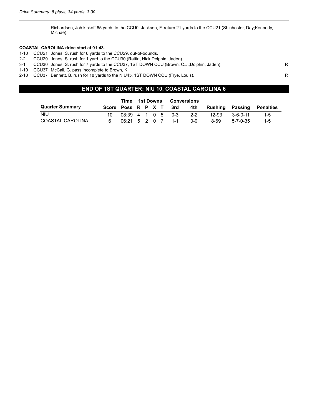Richardson, Joh kickoff 65 yards to the CCU0, Jackson, F. return 21 yards to the CCU21 (Shinhoster, Day;Kennedy, Michae).

#### **COASTAL CAROLINA drive start at 01:43.**

- 1-10 CCU21 Jones, S. rush for 8 yards to the CCU29, out-of-bounds.
- 2-2 CCU29 Jones, S. rush for 1 yard to the CCU30 (Rattin, Nick;Dolphin, Jaden).
- 3-1 CCU30 Jones, S. rush for 7 yards to the CCU37, 1ST DOWN CCU (Brown, C.J.;Dolphin, Jaden).
- 1-10 CCU37 McCall, G. pass incomplete to Brown, K..
- 2-10 CCU37 Bennett, B. rush for 18 yards to the NIU45, 1ST DOWN CCU (Frye, Louis).

#### **END OF 1ST QUARTER: NIU 10, COASTAL CAROLINA 6**

|                        |                   | Time  1st Downs |  |  |  | <b>Conversions</b>    |     |                                            |                  |           |
|------------------------|-------------------|-----------------|--|--|--|-----------------------|-----|--------------------------------------------|------------------|-----------|
| <b>Quarter Summary</b> |                   |                 |  |  |  |                       |     | Score Poss R P X T 3rd 4th Rushing Passing |                  | Penalties |
| <b>NIU</b>             |                   |                 |  |  |  | 08:39 4 1 0 5 0-3 2-2 |     | 12-93                                      | 3-6-0-11         | $1-5$     |
| COASTAL CAROLINA       | 06:21 5 2 0 7 1-1 |                 |  |  |  |                       | ი-ი | 8-69                                       | $5 - 7 - 0 - 35$ | $1 - 5$   |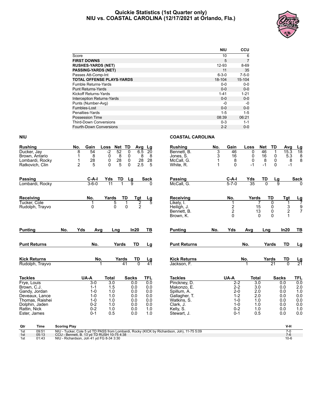#### **Quickie Statistics (1st Quarter only) NIU vs. COASTAL CAROLINA (12/17/2021 at Orlando, Fla.)**



|                                   | <b>NIU</b>  | <b>CCU</b>  |
|-----------------------------------|-------------|-------------|
| Score                             | 10          | 6           |
| <b>FIRST DOWNS</b>                | 5           | 7           |
| <b>RUSHES-YARDS (NET)</b>         | 12-93       | $8 - 69$    |
| <b>PASSING-YARDS (NET)</b>        | 11          | 35          |
| Passes Att-Comp-Int               | $6 - 3 - 0$ | $7 - 5 - 0$ |
| <b>TOTAL OFFENSE PLAYS-YARDS</b>  | 18-104      | 15-104      |
| Fumble Returns-Yards              | $0 - 0$     | $0-0$       |
| <b>Punt Returns-Yards</b>         | $0 - 0$     | $0 - 0$     |
| Kickoff Returns-Yards             | $1 - 41$    | $1 - 21$    |
| <b>Interception Returns-Yards</b> | $0 - 0$     | $0 - 0$     |
| Punts (Number-Avg)                | -0          | -0          |
| Fumbles-Lost                      | $0 - 0$     | $0-0$       |
| Penalties-Yards                   | $1 - 5$     | 1-5         |
| Possession Time                   | 08:39       | 06:21       |
| <b>Third-Down Conversions</b>     | $0 - 3$     | $1 - 1$     |
| Fourth-Down Conversions           | $2 - 2$     | $0 - 0$     |

| <b>Rushing</b> |                     | No.                                        | Gain               | Loss         | Net TD          | Avg            | Lg              | <b>Rushing</b>                                                                             | No. | Gain               | Loss         | <b>Net</b><br>TD | Avg            | <u>Lg</u>           |
|----------------|---------------------|--------------------------------------------|--------------------|--------------|-----------------|----------------|-----------------|--------------------------------------------------------------------------------------------|-----|--------------------|--------------|------------------|----------------|---------------------|
| Ducker, Jay    |                     | 8                                          | 54                 | $-2$         | 52<br>0         | 6.5            | $\overline{20}$ | Bennett. B.                                                                                | 3   | 46                 | $\mathbf 0$  | 46<br>1          | 15.3           | $\overline{18}$     |
|                | Brown, Antario      |                                            | 8                  | 0            | 8<br>0          | 8              | 8               | Jones, S.                                                                                  | 3   | 16                 | 0            | 16<br>0          | 5.3            | 8                   |
|                | Lombardi, Rocky     | 1<br>$\overline{2}$                        | 28                 | 0            | 28<br>0<br>5    | 28<br>2.5      | 28              | McCall, G.                                                                                 |     | 8                  | 0<br>$-1$    | 8<br>0<br>$-1$   | 8              | 8                   |
|                | Ratkovich, Clin     |                                            | 5                  | 0            | 0               |                | 5               | White, R.                                                                                  |     | 0                  |              | $\Omega$         | $-1$           |                     |
| <b>Passing</b> |                     |                                            | $C-A-I$            | Yds          | TD<br><u>Lg</u> |                | <b>Sack</b>     | Passing                                                                                    |     | $C-A-I$            | Yds          | TD<br><u>Lg</u>  |                | <b>Sack</b>         |
|                | Lombardi, Rocky     |                                            | $3 - 6 - 0$        | 11           |                 | $\overline{9}$ | O               | McCall, G.                                                                                 |     | $5 - 7 - 0$        | 35           | 0                | $\overline{9}$ |                     |
| Receiving      |                     |                                            | No.                | Yards        | TD              | Tgt            | Lg              | Receiving                                                                                  |     | No.                | Yards        | TD               | Tgt            | <u>Lg</u><br>7      |
| Tucker, Cole   |                     |                                            |                    | 5            | 1               | $\overline{2}$ | 5               | Likely, I.                                                                                 |     | 1                  | 7            | 0                |                |                     |
|                | Rudolph, Trayvo     |                                            | 0                  | 0            | $\mathbf 0$     | $\overline{c}$ |                 | Heiligh, J.<br>Bennett, B.                                                                 |     | $\frac{2}{2}$      | 15<br>13     | 0<br>0           | $\frac{3}{2}$  | 9<br>$\overline{7}$ |
|                |                     |                                            |                    |              |                 |                |                 | Brown, K.                                                                                  |     | $\Omega$           | $\Omega$     | $\Omega$         | 1              |                     |
| <b>Punting</b> |                     | Yds<br>No.                                 | Avg                | Lng          |                 | In20           | TВ              | <b>Punting</b>                                                                             | No. | Yds                | Avg          | Lng              | In20           | TВ                  |
|                | <b>Punt Returns</b> |                                            | No.                |              | Yards           | TD             | Lg              | <b>Punt Returns</b>                                                                        |     |                    | No.          | Yards            | TD             | Lg                  |
|                |                     |                                            |                    |              |                 |                |                 |                                                                                            |     |                    |              |                  |                |                     |
|                | <b>Kick Returns</b> |                                            | No.                |              | Yards           | TD             | <u>Lg</u>       | <b>Kick Returns</b>                                                                        |     |                    | No.          | Yards            | TD             | $\frac{Lg}{21}$     |
|                | Rudolph, Trayvo     |                                            |                    |              | 41              | $\overline{0}$ | 41              | Jackson, F.                                                                                |     |                    |              | $\overline{21}$  | $\overline{0}$ |                     |
| <b>Tackles</b> |                     |                                            | UA-A               | <b>Total</b> | <b>Sacks</b>    |                | TFL             | <b>Tackles</b>                                                                             |     | UA-A               | <b>Total</b> |                  | <b>Sacks</b>   | TFL                 |
| Frye, Louis    |                     |                                            | $3-0$              | 3.0          |                 | 0.0            | 0.0             | Pinckney, D.                                                                               |     | $2 - 2$            | 3.0          |                  | 0.0            | 0.0                 |
| Brown, C.J.    | Gandy, Jordan       |                                            | $1 - 1$<br>$1 - 0$ | 1.5<br>1.0   |                 | 0.0<br>0.0     | 0.0<br>0.0      | Makonzo, E.<br>Spillum, A.                                                                 |     | $2 - 2$<br>$2 - 0$ | 3.0<br>2.0   |                  | 0.0<br>0.0     | 2.0<br>1.0          |
|                | Deveaux, Lance      |                                            | $1 - 0$            | 1.0          |                 | 0.0            | 0.0             | Gallagher, T.                                                                              |     | $1 - 2$            | 2.0          |                  | 0.0            | 0.0                 |
|                | Thomas, Raishei     |                                            | $1 - 0$            | 1.0          |                 | 0.0            | 0.0             | Watkins, S.                                                                                |     | $1-0$              | 1.0          |                  | 0.0            | 0.0                 |
|                | Dolphin, Jaden      |                                            | $0 - 2$            | 1.0          |                 | 0.0            | 0.0             | Clark, J.                                                                                  |     | $1-0$              | 1.0          |                  | 0.0            | 0.0                 |
| Rattin, Nick   |                     |                                            | $0 - 2$            | 1.0          |                 | 0.0            | 1.0             | Kelly, S.                                                                                  |     | $0 - 2$            | 1.0          |                  | 0.0            | 1.0                 |
| Ester, James   |                     |                                            | $0 - 1$            | 0.5          |                 | 0.0            | 1.0             | Stewart, J.                                                                                |     | $0 - 1$            | 0.5          |                  | 0.0            | 0.0                 |
| Qtr            | Time                | <b>Scoring Play</b>                        |                    |              |                 |                |                 |                                                                                            |     |                    |              |                  | V-H            |                     |
| 1st<br>1st     | 09:51<br>05:13      | CCU - Bennett, B. 13 yd TD RUSH 10-75 4:38 |                    |              |                 |                |                 | NIU - Tucker, Cole 5 yd TD PASS from Lombardi, Rocky (KICK by Richardson, Joh), 11-75 5:09 |     |                    |              |                  | $7-0$<br>$7-6$ |                     |
| 1st            | 01:43               | NIU - Richardson, Joh 41 yd FG 8-34 3:30   |                    |              |                 |                |                 |                                                                                            |     |                    |              |                  | $10-6$         |                     |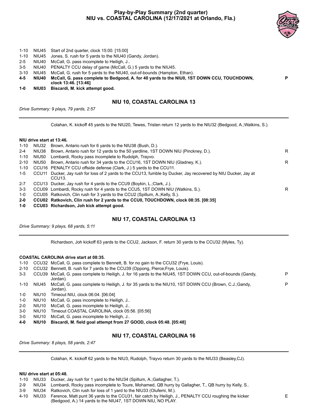#### **Play-by-Play Summary (2nd quarter) NIU vs. COASTAL CAROLINA (12/17/2021 at Orlando, Fla.)**



**P**

- 1-10 NIU45 Start of 2nd quarter, clock 15:00. [15:00]
- 1-10 NIU45 Jones, S. rush for 5 yards to the NIU40 (Gandy, Jordan).
- 2-5 NIU40 McCall, G. pass incomplete to Heiligh, J..
- 3-5 NIU40 PENALTY CCU delay of game (McCall, G.) 5 yards to the NIU45.
- 3-10 NIU45 McCall, G. rush for 5 yards to the NIU40, out-of-bounds (Hampton, Ethan).
- **4-5 NIU40 McCall, G. pass complete to Bedgood, A. for 40 yards to the NIU0, 1ST DOWN CCU, TOUCHDOWN, clock 13:46. [13:46]**
- **1-0 NIU03 Biscardi, M. kick attempt good.**

#### **NIU 10, COASTAL CAROLINA 13**

*Drive Summary: 9 plays, 79 yards, 2:57*

Colahan, K. kickoff 45 yards to the NIU20, Tewes, Tristen return 12 yards to the NIU32 (Bedgood, A.;Watkins, S.).

#### **NIU drive start at 13:46.**

| $1-0$    |       | CCU03 Richardson, Joh kick attempt good.                                                                                            |   |
|----------|-------|-------------------------------------------------------------------------------------------------------------------------------------|---|
| 2-0      |       | CCU02 Ratkovich, Clin rush for 2 yards to the CCU0, TOUCHDOWN, clock 08:35. [08:35]                                                 |   |
| 1-0      |       | CCU05 Ratkovich, Clin rush for 3 yards to the CCU2 (Spillum, A.; Kelly, S.).                                                        |   |
| $3 - 3$  |       | CCU09 Lombardi, Rocky rush for 4 yards to the CCU5, 1ST DOWN NIU (Watkins, S.).                                                     | R |
| $2 - 7$  |       | CCU13 Ducker, Jay rush for 4 yards to the CCU9 (Boykin, L.; Clark, J.).                                                             |   |
| $1-5$    |       | CCU11 Ducker, Jay rush for loss of 2 yards to the CCU13, fumble by Ducker, Jay recovered by NIU Ducker, Jay at<br>CCU <sub>13</sub> |   |
| 1-10     |       | CCU16 PENALTY CCU offside defense (Clark, J.) 5 yards to the CCU11.                                                                 |   |
| $2 - 10$ | NIU50 | Brown, Antario rush for 34 yards to the CCU16, 1ST DOWN NIU (Gladney, K.).                                                          | R |
| 1-10     | NIU50 | Lombardi, Rocky pass incomplete to Rudolph, Trayvo.                                                                                 |   |
| $2 - 4$  | NIU38 | Brown, Antario rush for 12 yards to the 50 yardline, 1ST DOWN NIU (Pinckney, D.).                                                   | R |
| 1-10     | NIU32 | Brown, Antario rush for 6 yards to the NIU38 (Bush, D.).                                                                            |   |

#### **NIU 17, COASTAL CAROLINA 13**

*Drive Summary: 9 plays, 68 yards, 5:11*

Richardson, Joh kickoff 63 yards to the CCU2, Jackson, F. return 30 yards to the CCU32 (Myles, Ty).

#### **COASTAL CAROLINA drive start at 08:35.**

- 1-10 CCU32 McCall, G. pass complete to Bennett, B. for no gain to the CCU32 (Frye, Louis).
- 2-10 CCU32 Bennett, B. rush for 7 yards to the CCU39 (Oppong, Pierce;Frye, Louis).

| $3 - 3$ |       | CCU39 McCall, G. pass complete to Heiligh, J. for 16 yards to the NIU45, 1ST DOWN CCU, out-of-bounds (Gandy,          | P |
|---------|-------|-----------------------------------------------------------------------------------------------------------------------|---|
|         |       | Jordan).                                                                                                              |   |
| 1-10    |       | NIU45 McCall, G. pass complete to Heiligh, J. for 35 yards to the NIU10, 1ST DOWN CCU (Brown, C.J.;Gandy,<br>Jordan). | P |
| $1 - 0$ | NIU10 | Timeout NIU, clock 06:04, [06:04]                                                                                     |   |
| $1 - 0$ | NIU10 | McCall, G. pass incomplete to Heiligh, J                                                                              |   |
| $2 - 0$ | NIU10 | McCall, G. pass incomplete to Heiligh, J                                                                              |   |

- 3-0 NIU10 Timeout COASTAL CAROLINA, clock 05:56. [05:56]
- 3-0 NIU10 McCall, G. pass incomplete to Heiligh, J..
- **4-0 NIU10 Biscardi, M. field goal attempt from 27 GOOD, clock 05:48. [05:48]**

## **NIU 17, COASTAL CAROLINA 16**

*Drive Summary: 8 plays, 58 yards, 2:47*

Colahan, K. kickoff 62 yards to the NIU3, Rudolph, Trayvo return 30 yards to the NIU33 (Beasley,CJ).

#### **NIU drive start at 05:48.**

- 1-10 NIU33 Ducker, Jay rush for 1 yard to the NIU34 (Spillum, A.;Gallagher, T.).
- 2-9 NIU34 Lombardi, Rocky pass incomplete to Toure, Mohamed, QB hurry by Gallagher, T., QB hurry by Kelly, S..
- 3-9 NIU34 Ratkovich, Clin rush for loss of 1 yard to the NIU33 (Olufemi, M.).
- 4-10 NIU33 Ference, Matt punt 36 yards to the CCU31, fair catch by Heiligh, J., PENALTY CCU roughing the kicker (Bedgood, A.) 14 yards to the NIU47, 1ST DOWN NIU, NO PLAY.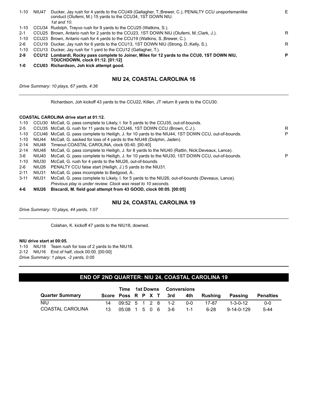| $1 - 10$ | NIU47 | Ducker, Jay rush for 4 yards to the CCU49 (Gallagher, T.;Brewer, C.), PENALTY CCU unsportsmanlike<br>conduct (Olufemi, M.) 15 yards to the CCU34, 1ST DOWN NIU. | Е |
|----------|-------|-----------------------------------------------------------------------------------------------------------------------------------------------------------------|---|
|          |       | 1st and 10.                                                                                                                                                     |   |
| 1-10     |       | CCU34 Rudolph, Trayvo rush for 9 yards to the CCU25 (Watkins, S.).                                                                                              |   |
| $2 - 1$  |       | CCU25 Brown, Antario rush for 2 yards to the CCU23, 1ST DOWN NIU (Olufemi, M.;Clark, J.).                                                                       | R |
| $1 - 10$ |       | CCU23 Brown, Antario rush for 4 yards to the CCU19 (Watkins, S.; Brewer, C.).                                                                                   |   |
| $2-6$    |       | CCU19 Ducker, Jay rush for 6 yards to the CCU13, 1ST DOWN NIU (Strong, D.; Kelly, S.).                                                                          | R |
| 1-10     |       | CCU13 Ducker, Jay rush for 1 yard to the CCU12 (Gallagher, T.).                                                                                                 |   |
| 2-9      |       | CCU12 Lombardi, Rocky pass complete to Joiner, Miles for 12 yards to the CCU0, 1ST DOWN NIU,                                                                    | P |
|          |       | <b>TOUCHDOWN, clock 01:12. [01:12]</b>                                                                                                                          |   |
| 1-0      |       | CCU03 Richardson, Joh kick attempt good.                                                                                                                        |   |

#### **NIU 24, COASTAL CAROLINA 16**

*Drive Summary: 10 plays, 67 yards, 4:36*

Richardson, Joh kickoff 43 yards to the CCU22, Killen, JT return 8 yards to the CCU30.

#### **COASTAL CAROLINA drive start at 01:12.**

| $4-6$    | NIU26 | Biscardi, M. field goal attempt from 43 GOOD, clock 00:05. [00:05]                                    |   |
|----------|-------|-------------------------------------------------------------------------------------------------------|---|
|          |       | Previous play is under review. Clock was reset to 10 seconds.                                         |   |
| $3 - 11$ | NIU31 | McCall, G. pass complete to Likely, I. for 5 yards to the NIU26, out-of-bounds (Deveaux, Lance).      |   |
| $2 - 11$ | NIU31 | McCall, G. pass incomplete to Bedgood, A                                                              |   |
| 2-6      | NIU26 | PENALTY CCU false start (Heiligh, J.) 5 yards to the NIU31.                                           |   |
| 1-10     | NIU30 | McCall, G. rush for 4 yards to the NIU26, out-of-bounds.                                              |   |
| 3-6      | NIU40 | McCall, G. pass complete to Heiligh, J. for 10 yards to the NIU30, 1ST DOWN CCU, out-of-bounds.       | P |
| $2 - 14$ | NIU48 | McCall, G. pass complete to Heiligh, J. for 8 yards to the NIU40 (Rattin, Nick;Deveaux, Lance).       |   |
| $2 - 14$ | NIU48 | Timeout COASTAL CAROLINA, clock 00:40. [00:40]                                                        |   |
| 1-10     | NIU44 | McCall, G. sacked for loss of 4 yards to the NIU48 (Dolphin, Jaden).                                  |   |
| 1-10     |       | CCU46 McCall, G. pass complete to Heiligh, J. for 10 yards to the NIU44, 1ST DOWN CCU, out-of-bounds. | P |
| $2 - 5$  |       | CCU35 McCall, G. rush for 11 yards to the CCU46, 1ST DOWN CCU (Brown, C.J.).                          | R |
| 1-10     |       | CCU30 McCall, G. pass complete to Likely, I. for 5 yards to the CCU35, out-of-bounds.                 |   |

#### **NIU 24, COASTAL CAROLINA 19**

*Drive Summary: 10 plays, 44 yards, 1:07*

Colahan, K. kickoff 47 yards to the NIU18, downed.

#### **NIU drive start at 00:05.**

1-10 NIU18 Team rush for loss of 2 yards to the NIU16. 2-12 NIU16 End of half, clock 00:00. [00:00] *Drive Summary: 1 plays, -2 yards, 0:05*

#### **END OF 2ND QUARTER: NIU 24, COASTAL CAROLINA 19**

|                        |     |                                                   | Time 1st Downs Conversions |  |  |                        |         |             |                    |           |
|------------------------|-----|---------------------------------------------------|----------------------------|--|--|------------------------|---------|-------------|--------------------|-----------|
| <b>Quarter Summary</b> |     |                                                   |                            |  |  | Score Poss R P X T 3rd |         | 4th Rushing | Passing            | Penalties |
| <b>NIU</b>             | 14  | $09:52 \quad 5 \quad 1 \quad 2 \quad 8 \quad 1-2$ |                            |  |  |                        | ი-ი     | 17-87       | 1-3-0-12           | $0 - 0$   |
| COASTAL CAROLINA       | 13. | 05:08 1 5 0 6 3-6                                 |                            |  |  |                        | $1 - 1$ | 6-28        | $9 - 14 - 0 - 129$ | $5 - 44$  |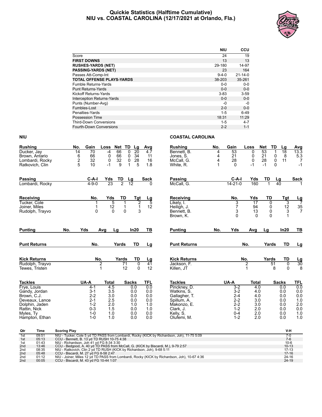#### **Quickie Statistics (Halftime Cumulative) NIU vs. COASTAL CAROLINA (12/17/2021 at Orlando, Fla.)**



|                                   | <b>NIU</b>  | <b>CCU</b>    |
|-----------------------------------|-------------|---------------|
| Score                             | 24          | 19            |
| <b>FIRST DOWNS</b>                | 13          | 13            |
| <b>RUSHES-YARDS (NET)</b>         | 29-180      | 14-97         |
| <b>PASSING-YARDS (NET)</b>        | 23          | 164           |
| Passes Att-Comp-Int               | $9 - 4 - 0$ | $21 - 14 - 0$ |
| <b>TOTAL OFFENSE PLAYS-YARDS</b>  | 38-203      | 35-261        |
| Fumble Returns-Yards              | $0 - 0$     | $0 - 0$       |
| <b>Punt Returns-Yards</b>         | $0 - 0$     | $0 - 0$       |
| <b>Kickoff Returns-Yards</b>      | $3 - 83$    | $3 - 59$      |
| <b>Interception Returns-Yards</b> | $0 - 0$     | $0 - 0$       |
| Punts (Number-Avg)                | -0          | -0            |
| Fumbles-Lost                      | $2 - 0$     | $0 - 0$       |
| Penalties-Yards                   | $1 - 5$     | 6-49          |
| Possession Time                   | 18:31       | 11:29         |
| <b>Third-Down Conversions</b>     | $1 - 5$     | $4 - 7$       |
| <b>Fourth-Down Conversions</b>    | $2 - 2$     | $1 - 1$       |

| <b>Rushing</b>                                                                                                  | No.                   | Gain                                                                      | Loss                                          | <b>Net</b><br>TD                          | Lg                                            | Avg                                           | <b>Rushing</b>                                                                                      | No.              | Gain                                                                      | Loss                                           | <b>Net</b><br>TD              | Lg                                                 | $\frac{\text{Avg}}{13.3}$                     |
|-----------------------------------------------------------------------------------------------------------------|-----------------------|---------------------------------------------------------------------------|-----------------------------------------------|-------------------------------------------|-----------------------------------------------|-----------------------------------------------|-----------------------------------------------------------------------------------------------------|------------------|---------------------------------------------------------------------------|------------------------------------------------|-------------------------------|----------------------------------------------------|-----------------------------------------------|
| Ducker, Jay<br>Brown, Antario<br>Lombardi, Rocky<br>Ratkovich, Clin                                             | 14<br>$\frac{6}{2}$ 5 | $\overline{70}$<br>66<br>32<br>10                                         | $-4$<br>0<br>0<br>$-1$                        | 66<br>$\Omega$<br>66<br>0<br>32<br>0<br>9 | $\overline{20}$<br>34<br>28<br>5              | 4.7<br>11<br>16<br>1.8                        | Bennett, B.<br>Jones, S.<br>McCall, G.<br>White, R.                                                 | 4<br>4<br>4<br>1 | 53<br>21<br>28<br>$\Omega$                                                | $\Omega$<br>0<br>0<br>$-1$                     | 53<br>21<br>28<br>$-1$        | $\mathbf 1$<br>18<br>0<br>8<br>0<br>11<br>$\Omega$ | $\frac{5.3}{7}$<br>$-1$                       |
| Passing<br>Lombardi, Rocky                                                                                      |                       | $C-A-I$<br>$4 - 9 - 0$                                                    | Yds<br>23                                     | TD<br>Lg<br>$\overline{2}$                | $\overline{12}$                               | <b>Sack</b><br>0                              | Passing<br>McCall, G.                                                                               |                  | $C-A-I$<br>$14 - 21 - 0$                                                  | Yds<br>160                                     | TD<br>$\mathbf{1}$            | Lg<br>40                                           | <b>Sack</b>                                   |
| Receiving<br>Tucker, Cole<br>Joiner, Miles<br>Rudolph, Trayvo                                                   |                       | No.<br>0                                                                  | Yds<br>5<br>12<br>$\mathbf{0}$                | TD<br>1<br>$\mathbf{1}$<br>$\mathbf 0$    | Tgt<br>$\overline{2}$<br>$\mathbf{1}$<br>3    | $\frac{\text{Lg}}{5}$<br>12                   | Receiving<br>Likely, I.<br>Heiligh, J.<br>Bennett, B.<br>Brown, K.                                  |                  | No.<br>3<br>$\overline{7}$<br>3<br>$\Omega$                               | Yds<br>$\overline{17}$<br>94<br>13<br>$\Omega$ | TD<br>0<br>0<br>0<br>$\Omega$ | Tgt<br>3<br>$\frac{12}{3}$                         | $\frac{Lg}{7}$<br>$\frac{35}{7}$              |
| <b>Punting</b>                                                                                                  | No.                   | Yds                                                                       | Avg<br>Lg                                     |                                           | In20                                          | TB                                            | <b>Punting</b>                                                                                      | No.              | <b>Yds</b>                                                                | Avg                                            | Lg                            | In20                                               | TВ                                            |
| <b>Punt Returns</b>                                                                                             |                       | No.                                                                       |                                               | Yards                                     | <b>TD</b>                                     | Lg                                            | <b>Punt Returns</b>                                                                                 |                  |                                                                           | No.                                            | Yards                         | <b>TD</b>                                          | <u>Lg</u>                                     |
| <b>Kick Returns</b><br>Rudolph, Trayvo<br>Tewes, Tristen                                                        |                       | No.<br>2                                                                  |                                               | Yards<br>71<br>12                         | TD<br>$\overline{0}$<br>$\Omega$              | <u>Lg</u><br>41<br>12                         | <b>Kick Returns</b><br>Jackson, F.<br>Killen, JT                                                    |                  |                                                                           | No.<br>2<br>1                                  | Yards<br>51<br>8              | <b>TD</b><br>$\overline{0}$<br>$\Omega$            | $\frac{\text{Lg}}{30}$                        |
| <b>Tackles</b><br>Frye, Louis                                                                                   |                       | UA-A<br>$4 - 1$                                                           | <b>Total</b><br>4.5                           | <b>Sacks</b>                              | 0.0                                           | <b>TFL</b><br>0.0                             | <b>Tackles</b><br>Pinckney, D.                                                                      |                  | UA-A<br>$3-2$                                                             | <b>Total</b><br>4.0                            |                               | <b>Sacks</b><br>0.0                                | TFL<br>0.0                                    |
| Gandy, Jordan<br>Brown, C.J.<br>Deveaux, Lance<br>Dolphin, Jaden<br>Rattin, Nick<br>Myles, Ty<br>Hampton, Ethan |                       | $3 - 1$<br>$2 - 2$<br>$2 - 1$<br>$1 - 2$<br>$0 - 3$<br>$1 - 0$<br>$1 - 0$ | 3.5<br>3.0<br>2.5<br>2.0<br>1.5<br>1.0<br>1.0 |                                           | 0.0<br>0.0<br>0.0<br>1.0<br>0.0<br>0.0<br>0.0 | 0.0<br>0.0<br>0.0<br>1.0<br>1.0<br>0.0<br>0.0 | Watkins, S.<br>Gallagher, T.<br>Spillum, A.<br>Makonzo. E.<br>Clark, J.<br>Kelly, S.<br>Olufemi, M. |                  | $3 - 2$<br>$2 - 4$<br>$2 - 2$<br>$2 - 2$<br>$1 - 2$<br>$0 - 4$<br>$1 - 2$ | 4.0<br>4.0<br>3.0<br>3.0<br>2.0<br>2.0<br>2.0  |                               | 0.0<br>0.0<br>0.0<br>0.0<br>0.0<br>0.0<br>0.0      | 0.0<br>0.0<br>1.0<br>2.0<br>0.0<br>1.0<br>1.0 |

| Qtr | Time  | <b>Scoring Play</b>                                                                          | V-H       |
|-----|-------|----------------------------------------------------------------------------------------------|-----------|
| 1st | 09:51 | NIU - Tucker, Cole 5 yd TD PASS from Lombardi, Rocky (KICK by Richardson, Joh), 11-75 5:09   |           |
| 1st | 05:13 | CCU - Bennett, B. 13 yd TD RUSH 10-75 4:38                                                   | $7 - 6$   |
| 1st | 01:43 | NIU - Richardson, Joh 41 vd FG 8-34 3:30                                                     | $10 - 6$  |
| 2nd | 13:46 | CCU - Bedgood, A. 40 yd TD PASS from McCall, G. (KICK by Biscardi, M.), 9-79 2:57            | $10-13$   |
| 2nd | 08:35 | NIU - Ratkovich, Clin 2 yd TD RUSH (KICK by Richardson, Joh), 9-68 5:11                      | $17 - 13$ |
| 2nd | 05:48 | CCU - Biscardi, M. 27 yd FG 8-58 2:47                                                        | $17-16$   |
| 2nd | 01:12 | NIU - Joiner, Miles 12 yd TD PASS from Lombardi, Rocky (KICK by Richardson, Joh), 10-67 4:36 | $24 - 16$ |
| 2nd | 00:05 | CCU - Biscardi, M. 43 yd FG 10-44 1:07                                                       | $24-19$   |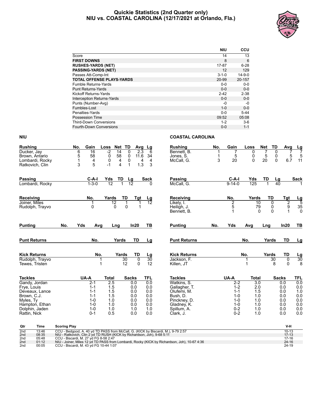#### **Quickie Statistics (2nd Quarter only) NIU vs. COASTAL CAROLINA (12/17/2021 at Orlando, Fla.)**



|                                   | <b>NIU</b>  | <b>CCU</b>   |
|-----------------------------------|-------------|--------------|
| Score                             | 14          | 13           |
| <b>FIRST DOWNS</b>                | 8           | 6            |
| <b>RUSHES-YARDS (NET)</b>         | 17-87       | $6 - 28$     |
| <b>PASSING-YARDS (NET)</b>        | 12          | 129          |
| Passes Att-Comp-Int               | $3 - 1 - 0$ | $14 - 9 - 0$ |
| <b>TOTAL OFFENSE PLAYS-YARDS</b>  | 20-99       | 20-157       |
| <b>Fumble Returns-Yards</b>       | $0 - 0$     | $0 - 0$      |
| <b>Punt Returns-Yards</b>         | $0 - 0$     | $0 - 0$      |
| Kickoff Returns-Yards             | $2 - 42$    | $2 - 38$     |
| <b>Interception Returns-Yards</b> | $0 - 0$     | $0 - 0$      |
| Punts (Number-Avg)                | -0          | -0           |
| Fumbles-Lost                      | $1 - 0$     | $0 - 0$      |
| Penalties-Yards                   | $0 - 0$     | $5-44$       |
| Possession Time                   | 09:52       | 05:08        |
| <b>Third-Down Conversions</b>     | $1 - 2$     | $3-6$        |
| <b>Fourth-Down Conversions</b>    | $0 - 0$     | $1 - 1$      |

| <b>Rushing</b>                                                                                                | No.                 | Gain                                                                      | Loss                                          | <b>Net</b><br>TD                                               | Avg                                           | $\frac{Lg}{6}$                                | <b>Rushing</b>                                                                                      | No.    | Gain                                                                      | Loss                                          | <b>Net</b>                      | <b>TD</b>             | Avg                                           | $\frac{Lg}{7}$                                                  |
|---------------------------------------------------------------------------------------------------------------|---------------------|---------------------------------------------------------------------------|-----------------------------------------------|----------------------------------------------------------------|-----------------------------------------------|-----------------------------------------------|-----------------------------------------------------------------------------------------------------|--------|---------------------------------------------------------------------------|-----------------------------------------------|---------------------------------|-----------------------|-----------------------------------------------|-----------------------------------------------------------------|
| Ducker, Jay<br>Brown, Antario<br>Lombardi, Rocky<br>Ratkovich, Clin                                           | 6<br>5<br>1<br>3    | $\overline{16}$<br>58<br>4<br>5                                           | $-2$<br>0<br>0<br>$-1$                        | 14<br>0<br>58<br>0<br>4<br>0<br>$\overline{4}$<br>$\mathbf{1}$ | $\overline{2.3}$<br>11.6<br>4<br>1.3          | 34<br>4<br>3                                  | Bennett, B.<br>Jones, S.<br>McCall, G.                                                              | 1<br>3 | 5<br>20                                                                   | 0<br>0<br>$\Omega$                            | 5<br>20                         | 0<br>0<br>$\mathbf 0$ | 5<br>6.7                                      | 5<br>11                                                         |
| <b>Passing</b><br>Lombardi, Rocky                                                                             |                     | C-A-I<br>$1 - 3 - 0$                                                      | Yds<br>$\overline{12}$                        | TD<br>Lg<br>$\overline{12}$                                    |                                               | <b>Sack</b>                                   | Passing<br>McCall, G.                                                                               |        | $C-A-I$<br>$9 - 14 - 0$                                                   | Yds<br>125                                    | TD                              | Lg<br>40              |                                               | <b>Sack</b>                                                     |
| Receiving<br>Joiner, Miles<br>Rudolph, Trayvo                                                                 |                     | No.<br>0                                                                  | Yards<br>$\overline{12}$<br>$\Omega$          | TD<br>1<br>$\Omega$                                            | <b>Tgt</b><br>1                               | Lg<br>$\overline{12}$                         | Receiving<br>Likely, I.<br>Heiligh, J.<br>Bennett, B.                                               |        | No.<br>2<br>5<br>1                                                        | Yards<br>10<br>79<br>$\Omega$                 | TD<br>$\Omega$<br>0<br>$\Omega$ |                       | Tgt<br>$\overline{2}$<br>9<br>1               | $\frac{\text{Lg}}{5}$<br>$\begin{array}{c} 35 \\ 0 \end{array}$ |
| <b>Punting</b>                                                                                                | No.                 | Yds<br>Avg                                                                | Lng                                           |                                                                | In20                                          | ΤВ                                            | <b>Punting</b>                                                                                      | No.    | Yds                                                                       | Avg                                           | Lng                             |                       | In20                                          | TВ                                                              |
| <b>Punt Returns</b>                                                                                           |                     | No.                                                                       |                                               | Yards                                                          | TD                                            | Lg                                            | <b>Punt Returns</b>                                                                                 |        |                                                                           | No.                                           | Yards                           |                       | <b>TD</b>                                     | Lg                                                              |
| <b>Kick Returns</b><br>Rudolph, Trayvo<br>Tewes, Tristen                                                      |                     |                                                                           | No.<br>1<br>1                                 | Yards<br>30<br>12                                              | TD<br>0<br>$\Omega$                           | <u>Lg</u><br>30<br>12                         | <b>Kick Returns</b><br>Jackson, F.<br>Killen, JT                                                    |        |                                                                           | No.                                           | Yards                           | 30<br>8               | <b>TD</b><br>0<br>0                           | $\frac{Lg}{30}$<br>8                                            |
| <b>Tackles</b><br>Gandy, Jordan                                                                               |                     | UA-A<br>$2 - 1$                                                           | <b>Total</b><br>2.5                           | <b>Sacks</b>                                                   | 0.0                                           | <b>TFL</b><br>0.0                             | <b>Tackles</b><br>Watkins, S.                                                                       |        | UA-A<br>$2 - 2$                                                           | <b>Total</b><br>3.0                           |                                 | <b>Sacks</b>          | 0.0                                           | TFL<br>0.0                                                      |
| Frye, Louis<br>Deveaux, Lance<br>Brown, C.J.<br>Myles, Ty<br>Hampton, Ethan<br>Dolphin, Jaden<br>Rattin, Nick |                     | $1 - 1$<br>$1 - 1$<br>$1 - 1$<br>$1 - 0$<br>$1 - 0$<br>$1 - 0$<br>$0 - 1$ | 1.5<br>1.5<br>1.5<br>1.0<br>1.0<br>1.0<br>0.5 |                                                                | 0.0<br>0.0<br>0.0<br>0.0<br>0.0<br>1.0<br>0.0 | 0.0<br>0.0<br>0.0<br>0.0<br>0.0<br>1.0<br>0.0 | Gallagher, T.<br>Olufemi, M.<br>Bush, D.<br>Pinckney, D.<br>Gladney, K.<br>Spillum, A.<br>Clark, J. |        | $1 - 2$<br>$1 - 1$<br>$1 - 0$<br>$1 - 0$<br>$1 - 0$<br>$0 - 2$<br>$0 - 2$ | 2.0<br>1.5<br>1.0<br>1.0<br>1.0<br>1.0<br>1.0 |                                 |                       | 0.0<br>0.0<br>0.0<br>0.0<br>0.0<br>0.0<br>0.0 | 0.0<br>1.0<br>0.0<br>0.0<br>0.0<br>0.0<br>0.0                   |
| Qtr<br>Time                                                                                                   | <b>Scoring Play</b> |                                                                           |                                               |                                                                |                                               |                                               |                                                                                                     |        |                                                                           |                                               |                                 |                       | V-H                                           |                                                                 |

| Otr | Time  | <b>Scoring Play</b>                                                                          | V-h       |
|-----|-------|----------------------------------------------------------------------------------------------|-----------|
| 2nd | 13:46 | CCU - Bedgood, A. 40 yd TD PASS from McCall, G. (KICK by Biscardi, M.), 9-79 2:57            | $10-13$   |
| 2nd | 08:35 | NIU - Ratkovich, Clin 2 yd TD RUSH (KICK by Richardson, Joh), 9-68 5:11                      | $17 - 13$ |
| 2nd | 05:48 | CCU - Biscardi, M. 27 vd FG 8-58 2:47                                                        | $17-16$   |
| 2nd | 01:12 | NIU - Joiner, Miles 12 yd TD PASS from Lombardi, Rocky (KICK by Richardson, Joh), 10-67 4:36 | $24 - 16$ |
| 2nd | 00:05 | CCU - Biscardi, M. 43 yd FG 10-44 1:07                                                       | 24-19     |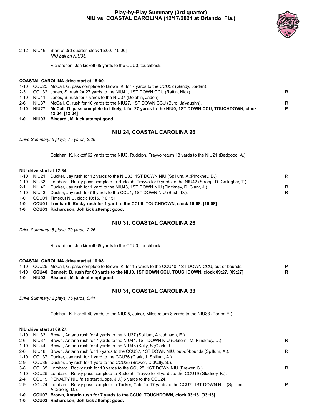

2-12 NIU16 Start of 3rd quarter, clock 15:00. [15:00] *NIU ball on NIU35.*

Richardson, Joh kickoff 65 yards to the CCU0, touchback.

#### **COASTAL CAROLINA drive start at 15:00.**

|       |            | 12:34. [12:34]                                                                                  |   |
|-------|------------|-------------------------------------------------------------------------------------------------|---|
|       | 1-10 NIU27 | McCall, G. pass complete to Likely, I. for 27 yards to the NIU0, 1ST DOWN CCU, TOUCHDOWN, clock | P |
| $2-6$ | NIU37      | McCall, G. rush for 10 yards to the NIU27, 1ST DOWN CCU (Byrd, JaVaughn).                       | R |
|       |            | 1-10 NIU41 Jones, S. rush for 4 yards to the NIU37 (Dolphin, Jaden).                            |   |
|       |            | 2-3 CCU32 Jones, S. rush for 27 yards to the NIU41, 1ST DOWN CCU (Rattin, Nick).                | R |
|       |            | 1-10 CCU25 McCall, G. pass complete to Brown, K. for 7 yards to the CCU32 (Gandy, Jordan).      |   |

**1-0 NIU03 Biscardi, M. kick attempt good.**

#### **NIU 24, COASTAL CAROLINA 26**

*Drive Summary: 5 plays, 75 yards, 2:26*

Colahan, K. kickoff 62 yards to the NIU3, Rudolph, Trayvo return 18 yards to the NIU21 (Bedgood, A.).

#### **NIU drive start at 12:34.**

|     | 1-10 NIU21 | Ducker, Jay rush for 12 yards to the NIU33, 1ST DOWN NIU (Spillum, A.; Pinckney, D.).                            | R |
|-----|------------|------------------------------------------------------------------------------------------------------------------|---|
|     |            | 1-10 NIU33 Lombardi, Rocky pass complete to Rudolph, Trayvo for 9 yards to the NIU42 (Strong, D.;Gallagher, T.). |   |
| 2-1 |            | NIU42 Ducker, Jay rush for 1 yard to the NIU43, 1ST DOWN NIU (Pinckney, D.;Clark, J.).                           | R |
|     |            | 1-10 NIU43 Ducker, Jay rush for 56 yards to the CCU1, 1ST DOWN NIU (Bush, D.).                                   | R |
|     |            | 1-0 CCU01 Timeout NIU, clock 10:15 [10:15]                                                                       |   |
| 1-0 |            | CCU01 Lombardi, Rocky rush for 1 yard to the CCU0, TOUCHDOWN, clock 10:08. [10:08]                               |   |

**1-0 CCU03 Richardson, Joh kick attempt good.**

#### **NIU 31, COASTAL CAROLINA 26**

*Drive Summary: 5 plays, 79 yards, 2:26*

Richardson, Joh kickoff 65 yards to the CCU0, touchback.

|     | <b>COASTAL CAROLINA drive start at 10:08.</b>                                                            |    |
|-----|----------------------------------------------------------------------------------------------------------|----|
|     | 1-10 CCU25 McCall, G. pass complete to Brown, K. for 15 yards to the CCU40, 1ST DOWN CCU, out-of-bounds. | P. |
|     | 1-10 CCU40 Bennett, B. rush for 60 yards to the NIU0, 1ST DOWN CCU, TOUCHDOWN, clock 09:27. [09:27]      | R. |
| 1-0 | NIU03 Biscardi, M. kick attempt good.                                                                    |    |

#### **NIU 31, COASTAL CAROLINA 33**

*Drive Summary: 2 plays, 75 yards, 0:41*

Colahan, K. kickoff 40 yards to the NIU25, Joiner, Miles return 8 yards to the NIU33 (Porter, E.).

#### **NIU drive start at 09:27.**

| 1-10    | NIU33 | Brown, Antario rush for 4 yards to the NIU37 (Spillum, A.; Johnson, E.).                                                   |   |
|---------|-------|----------------------------------------------------------------------------------------------------------------------------|---|
| $2-6$   | NIU37 | Brown, Antario rush for 7 yards to the NIU44, 1ST DOWN NIU (Olufemi, M.; Pinckney, D.).                                    | R |
| 1-10    | NIU44 | Brown, Antario rush for 4 yards to the NIU48 (Kelly, S.;Clark, J.).                                                        |   |
| 2-6     | NIU48 | Brown, Antario rush for 15 yards to the CCU37, 1ST DOWN NIU, out-of-bounds (Spillum, A.).                                  | R |
| 1-10    |       | CCU37 Ducker, Jay rush for 1 yard to the CCU36 (Clark, J.; Spillum, A.).                                                   |   |
| $2-9$   |       | CCU36 Ducker, Jay rush for 1 yard to the CCU35 (Brewer, C.; Kelly, S.).                                                    |   |
| 3-8     |       | CCU35 Lombardi, Rocky rush for 10 yards to the CCU25, 1ST DOWN NIU (Brewer, C.).                                           | R |
| 1-10    |       | CCU25 Lombardi, Rocky pass complete to Rudolph, Trayvo for 6 yards to the CCU19 (Gladney, K.).                             |   |
| $2 - 4$ |       | CCU19 PENALTY NIU false start (Lippe, J.J.) 5 yards to the CCU24.                                                          |   |
| $2-9$   |       | CCU24 Lombardi, Rocky pass complete to Tucker, Cole for 17 yards to the CCU7, 1ST DOWN NIU (Spillum,<br>$A$ : Strong, D.). | P |
| 1-0     |       | CCU07 Brown, Antario rush for 7 yards to the CCU0, TOUCHDOWN, clock 03:13. [03:13]                                         |   |
|         |       |                                                                                                                            |   |

**1-0 CCU03 Richardson, Joh kick attempt good.**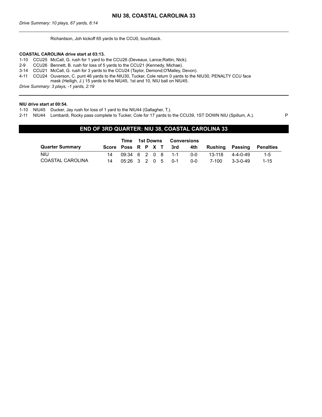Richardson, Joh kickoff 65 yards to the CCU0, touchback.

#### **COASTAL CAROLINA drive start at 03:13.**

1-10 CCU25 McCall, G. rush for 1 yard to the CCU26 (Deveaux, Lance;Rattin, Nick).

- 2-9 CCU26 Bennett, B. rush for loss of 5 yards to the CCU21 (Kennedy, Michae).
- 3-14 CCU21 McCall, G. rush for 3 yards to the CCU24 (Taylor, Demond;O'Malley, Devon).
- 4-11 CCU24 Ouverson, C. punt 46 yards to the NIU30, Tucker, Cole return 0 yards to the NIU30, PENALTY CCU face
- mask (Heiligh, J.) 15 yards to the NIU45, 1st and 10, NIU ball on NIU45.

*Drive Summary: 3 plays, -1 yards, 2:19*

#### **NIU drive start at 00:54.**

1-10 NIU45 Ducker, Jay rush for loss of 1 yard to the NIU44 (Gallagher, T.).

2-11 NIU44 Lombardi, Rocky pass complete to Tucker, Cole for 17 yards to the CCU39, 1ST DOWN NIU (Spillum, A.). P

#### **END OF 3RD QUARTER: NIU 38, COASTAL CAROLINA 33**

|                        |               | Time 1st Downs |  |  |                        | <b>Conversions</b> |                               |                  |          |
|------------------------|---------------|----------------|--|--|------------------------|--------------------|-------------------------------|------------------|----------|
| <b>Quarter Summary</b> |               |                |  |  | Score Poss R P X T 3rd |                    | 4th Rushing Passing Penalties |                  |          |
| <b>NIU</b>             |               |                |  |  | 09:34 6 2 0 8 1-1      | ი-ი                | 13-118                        | 4-4-0-49         | $1 - 5$  |
| COASTAL CAROLINA       | 05:26 3 2 0 5 |                |  |  | _ດ-1                   | 0-0                | 7-100                         | $3 - 3 - 0 - 49$ | $1 - 15$ |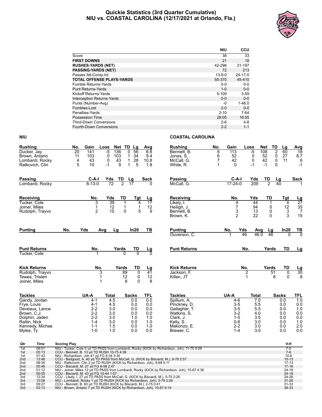#### **Quickie Statistics (3rd Quarter Cumulative) NIU vs. COASTAL CAROLINA (12/17/2021 at Orlando, Fla.)**



|                                   | <b>NIU</b>   | <b>CCU</b>    |
|-----------------------------------|--------------|---------------|
| Score                             | 38           | 33            |
| <b>FIRST DOWNS</b>                | 21           | 18            |
| <b>RUSHES-YARDS (NET)</b>         | 42-298       | 21-197        |
| <b>PASSING-YARDS (NET)</b>        | 72           | 213           |
| Passes Att-Comp-Int               | $13 - 8 - 0$ | $24 - 17 - 0$ |
| <b>TOTAL OFFENSE PLAYS-YARDS</b>  | 55-370       | 45-410        |
| <b>Fumble Returns-Yards</b>       | $0 - 0$      | $0-0$         |
| <b>Punt Returns-Yards</b>         | $1 - 0$      | $0 - 0$       |
| <b>Kickoff Returns-Yards</b>      | $5 - 109$    | $3 - 59$      |
| <b>Interception Returns-Yards</b> | $0 - 0$      | $0 - 0$       |
| Punts (Number-Avg)                | -0           | $1 - 46.0$    |
| Fumbles-Lost                      | $2 - 0$      | $0 - 0$       |
| Penalties-Yards                   | $2 - 10$     | 7-64          |
| Possession Time                   | 28:05        | 16:55         |
| <b>Third-Down Conversions</b>     | $2-6$        | $4 - 8$       |
| <b>Fourth-Down Conversions</b>    | $2 - 2$      | $1 - 1$       |

| <b>Rushing</b>      |                 | No.                                                                                    | Gain               | Loss<br><b>Net</b> | TD                | Lg              | Avg             | <b>Rushing</b>                                                                             | No.            | Gain               | Loss           | <b>Net</b>     | TD                  | Lg                  | Avg             |
|---------------------|-----------------|----------------------------------------------------------------------------------------|--------------------|--------------------|-------------------|-----------------|-----------------|--------------------------------------------------------------------------------------------|----------------|--------------------|----------------|----------------|---------------------|---------------------|-----------------|
| Ducker, Jay         |                 | 20                                                                                     | 141                | $-5$<br>136        | 0                 | 56              | 6.8             | Bennett. B.                                                                                | 6              | 113                | $-5$           | 108            | $\overline{2}$      | 60                  | $\overline{18}$ |
| Brown, Antario      |                 | 11                                                                                     | 103                | 0<br>103           | $\mathbf 1$       | 34              | 9.4             | Jones, S.                                                                                  | 6              | 52                 | 0              | 52             | 0                   | 27                  | 8.7             |
|                     | Lombardi, Rocky | 4                                                                                      | 43                 | 0                  | 43<br>$\mathbf 1$ | 28              | 10.8            | McCall, G.                                                                                 | $\overline{7}$ | 42                 | 0              | 42             | $\mathsf{O}\xspace$ | 11                  | 6               |
| Ratkovich, Clin     |                 | 5                                                                                      | 10                 | -1                 | 9<br>1            | 5               | 1.8             | White, R.                                                                                  | 1              | 0                  | -1             | $-1$           | 0                   |                     | $-1$            |
|                     |                 |                                                                                        |                    |                    |                   |                 |                 |                                                                                            |                |                    |                |                |                     |                     |                 |
| Passing             |                 |                                                                                        | C-A-I              | Yds                | TD                | Lg              | Sack            | Passing                                                                                    |                | $C-A-I$            | Yds            | TD             | Lg                  |                     | <b>Sack</b>     |
|                     | Lombardi, Rocky |                                                                                        | $8 - 13 - 0$       | $\overline{72}$    | $\overline{2}$    | $\overline{17}$ |                 | McCall, G.                                                                                 |                | $17 - 24 - 0$      | 209            | $\overline{2}$ | 40                  |                     |                 |
| Receiving           |                 |                                                                                        | No.                | Yds                | TD                | Tgt             | Lg              | Receiving                                                                                  |                | No.                | Yds            | TD             |                     | Tgt                 | <u>Lg</u>       |
| Tucker, Cole        |                 |                                                                                        | 3                  | 39                 | 1                 | 4               | $\overline{17}$ | Likely, I.                                                                                 |                | 4                  | 44             | 1              |                     | $\overline{4}$      | $\overline{27}$ |
| Joiner. Miles       |                 |                                                                                        | 1                  | 12                 | 1                 | $\mathbf{1}$    | 12              | Heiligh, J.                                                                                |                | $\overline{7}$     | 94             | $\mathbf{0}$   |                     | 12                  | $\frac{35}{7}$  |
|                     | Rudolph, Trayvo |                                                                                        | $\overline{2}$     | 15                 | $\Omega$          | 5               | 9               | Bennett. B.                                                                                |                | 3                  | 13             | $\mathbf{0}$   |                     | $\mathsf 3$         |                 |
|                     |                 |                                                                                        |                    |                    |                   |                 |                 | Brown, K.                                                                                  |                | $\overline{2}$     | 22             | $\mathbf{0}$   |                     | 3                   | 15              |
| <b>Punting</b>      |                 | No.                                                                                    | Yds                | Avg<br>Lg          |                   | In20            | TВ              | Punting                                                                                    |                | No.                | Yds            | Avg<br>Lg      |                     | In20                | TВ              |
|                     |                 |                                                                                        |                    |                    |                   |                 |                 | Ouverson, C.                                                                               |                |                    | 46             | 46.0<br>46     |                     | 0                   | $\overline{0}$  |
|                     |                 |                                                                                        |                    |                    |                   |                 |                 |                                                                                            |                |                    |                |                |                     |                     |                 |
| <b>Punt Returns</b> |                 |                                                                                        | No.                |                    | Yards             | TD              | <u>Lg</u>       | <b>Punt Returns</b>                                                                        |                |                    | No.            | Yards          |                     | TD                  | Lg              |
| Tucker, Cole        |                 |                                                                                        | 1                  |                    | $\Omega$          | 0               | $\Omega$        |                                                                                            |                |                    |                |                |                     |                     |                 |
| <b>Kick Returns</b> |                 |                                                                                        | No.                |                    | Yards             | TD              | Lg              | <b>Kick Returns</b>                                                                        |                |                    | No.            | Yards          |                     | TD                  |                 |
|                     | Rudolph. Travvo |                                                                                        | 3                  |                    | 89                | $\overline{0}$  | 41              | Jackson, F.                                                                                |                |                    | $\overline{2}$ |                | 51                  | $\overline{0}$      | $\frac{Lg}{30}$ |
| Tewes. Tristen      |                 |                                                                                        | 1                  |                    | 12                | 0               | 12              | Killen, JT                                                                                 |                |                    | 1              |                | 8                   | $\Omega$            | 8               |
| Joiner, Miles       |                 |                                                                                        | 1                  |                    | 8                 | 0               | 8               |                                                                                            |                |                    |                |                |                     |                     |                 |
| <b>Tackles</b>      |                 |                                                                                        | UA-A               | <b>Total</b>       |                   | <b>Sacks</b>    | <b>TFL</b>      | <b>Tackles</b>                                                                             |                | UA-A               | Total          |                | <b>Sacks</b>        |                     | <b>TFL</b>      |
| Gandy, Jordan       |                 |                                                                                        | 4-1                | $\overline{4.5}$   |                   | 0.0             | 0.0             | Spillum, A.                                                                                |                | 4-6                |                | 7.0            |                     | 0.0                 | $\overline{10}$ |
| Frye, Louis         |                 |                                                                                        | 4-1                | 4.5                |                   | 0.0             | 0.0             | Pinckney, D.                                                                               |                | $3-5$              |                | 5.5            |                     | 0.0                 | 0.0             |
|                     | Deveaux, Lance  |                                                                                        | $2 - 2$            | 3.0                |                   | 0.0             | 0.0             | Gallagher, T.                                                                              |                | $3-5$              |                | 5.5            |                     | 0.0                 | 1.0             |
| Brown, C.J.         |                 |                                                                                        | $2 - 2$            | 3.0                |                   | 0.0             | 0.0             | Watkins, S.                                                                                |                | $3-2$              |                | 4.0            |                     | 0.0                 | 0.0             |
| Dolphin, Jaden      |                 |                                                                                        | $2 - 2$            | 3.0                |                   | 1.0             | 1.0             | Clark, J.                                                                                  |                | $1 - 5$            |                | 3.5            |                     | 0.0                 | 0.0             |
| Rattin, Nick        |                 |                                                                                        | $1 - 4$            | 3.0                |                   | 0.0             | 1.0             | Kelly, S.                                                                                  |                | $0-6$              |                | 3.0            |                     | 0.0                 | 1.0             |
| Myles, Ty           | Kennedy, Michae |                                                                                        | $1 - 1$<br>$1 - 0$ | 1.5<br>1.0         |                   | 0.0<br>0.0      | 1.0<br>0.0      | Makonzo, E.<br>Brewer, C.                                                                  |                | $2 - 2$<br>$1 - 4$ |                | 3.0<br>3.0     |                     | 0.0<br>0.0          | 2.0<br>0.0      |
|                     |                 |                                                                                        |                    |                    |                   |                 |                 |                                                                                            |                |                    |                |                |                     |                     |                 |
| Qtr                 | Time            | <b>Scoring Play</b>                                                                    |                    |                    |                   |                 |                 |                                                                                            |                |                    |                |                |                     | V-H                 |                 |
| 1st                 | 09:51           |                                                                                        |                    |                    |                   |                 |                 | NIU - Tucker, Cole 5 yd TD PASS from Lombardi, Rocky (KICK by Richardson, Joh), 11-75 5:09 |                |                    |                |                |                     | $7-0$               |                 |
| 1st<br>1st          | 05:13<br>01:43  | CCU - Bennett, B. 13 yd TD RUSH 10-75 4:38<br>NIU - Richardson, Joh 41 yd FG 8-34 3:30 |                    |                    |                   |                 |                 |                                                                                            |                |                    |                |                |                     | $7-6$<br>$10-6$     |                 |
| 2 <sub>nd</sub>     | 13:46           |                                                                                        |                    |                    |                   |                 |                 | CCU - Bedgood, A. 40 yd TD PASS from McCall, G. (KICK by Biscardi, M.), 9-79 2:57          |                |                    |                |                |                     | $10 - 13$           |                 |
| 2 <sub>nd</sub>     | 08:35           | NIU - Ratkovich, Clin 2 yd TD RUSH (KICK by Richardson, Joh), 9-68 5:11                |                    |                    |                   |                 |                 |                                                                                            |                |                    |                |                |                     | $17 - 13$           |                 |
| 2 <sub>nd</sub>     | 05:48           | CCU - Biscardi, M. 27 yd FG 8-58 2:47                                                  |                    |                    |                   |                 |                 | es Lambardi, Dealer (KIOK by Dishandeen, Joh), 40.07.4:00                                  |                |                    |                |                |                     | $17 - 16$<br>0.4.4C |                 |

| 2nd | 05:48 | CCU - Biscardi, M. 27 yd FG 8-58 2:47                                                        | $17 - 16$ |
|-----|-------|----------------------------------------------------------------------------------------------|-----------|
| 2nd | 01:12 | NIU - Joiner, Miles 12 yd TD PASS from Lombardi, Rocky (KICK by Richardson, Joh), 10-67 4:36 | $24-16$   |
| 2nd | 00:05 | CCU - Biscardi, M. 43 vd FG 10-44 1:07                                                       | 24-19     |
| 3rd | 12:34 | CCU - Likely, I. 27 yd TD PASS from McCall, G. (KICK by Biscardi, M.), 5-75 2:26             | 24-26     |
| 3rd | 10:08 | NIU - Lombardi, Rocky 1 yd TD RUSH (KICK by Richardson, Joh), 5-79 2:26                      | $31 - 26$ |
| 3rd | 09:27 | CCU - Bennett, B. 60 yd TD RUSH (KICK by Biscardi, M.), 2-75 0:41                            | $31 - 33$ |
| 3rd | 03:13 | NIU - Brown, Antario 7 yd TD RUSH (KICK by Richardson, Joh), 10-67 6:14                      | 38-33     |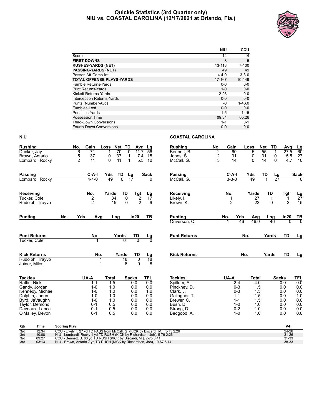#### **Quickie Statistics (3rd Quarter only) NIU vs. COASTAL CAROLINA (12/17/2021 at Orlando, Fla.)**



|                                   | <b>NIU</b>  | <b>CCU</b>  |
|-----------------------------------|-------------|-------------|
| Score                             | 14          | 14          |
| <b>FIRST DOWNS</b>                | 8           | 5           |
| <b>RUSHES-YARDS (NET)</b>         | 13-118      | $7 - 100$   |
| <b>PASSING-YARDS (NET)</b>        | 49          | 49          |
| Passes Att-Comp-Int               | $4 - 4 - 0$ | $3 - 3 - 0$ |
| <b>TOTAL OFFENSE PLAYS-YARDS</b>  | 17-167      | 10-149      |
| <b>Fumble Returns-Yards</b>       | $0 - 0$     | $0 - 0$     |
| <b>Punt Returns-Yards</b>         | $1 - 0$     | $0 - 0$     |
| Kickoff Returns-Yards             | $2 - 26$    | $0 - 0$     |
| <b>Interception Returns-Yards</b> | $0 - 0$     | $0 - 0$     |
| Punts (Number-Avg)                | -0          | $1 - 46.0$  |
| Fumbles-Lost                      | $0 - 0$     | $0 - 0$     |
| Penalties-Yards                   | $1 - 5$     | $1 - 15$    |
| Possession Time                   | 09:34       | 05:26       |
| <b>Third-Down Conversions</b>     | $1 - 1$     | $0 - 1$     |
| <b>Fourth-Down Conversions</b>    | $0 - 0$     | $0 - 0$     |

| $\overline{70}$<br>27.5<br>Ducker, Jay<br>$-1$<br>0<br>11.7<br>1<br>$\frac{5}{2}$<br>2<br>27<br>37<br>0<br>37<br>31<br>31<br>0<br>15.5<br>Brown, Antario<br>7.4<br>15<br>Jones, S.<br>0<br>1<br>3<br>11<br>5.5<br>0<br>4.7<br>10<br>11<br>$\Omega$<br>$\mathbf 1$<br>10<br>14<br>14<br>$\Omega$<br>McCall, G.<br>Lombardi, Rocky<br>TD<br>$C-A-I$<br>Yds<br>TD<br><b>Passing</b><br>C-A-I<br>Yds<br>Sack<br><b>Passing</b><br>Sack<br>Lg<br>Lg<br>$\overline{27}$<br>$\overline{0}$<br>17<br>$3 - 3 - 0$<br>49<br>$4 - 4 - 0$<br>49<br>McCall. G.<br>Lombardi, Rocky<br>TD<br>No.<br>Yards<br>TD<br>Receiving<br>No.<br>Yards<br>Receiving<br>Tgt<br>Tgt<br>Lg<br>$\frac{Lg}{27}$<br>$\overline{2}$<br>$\overline{34}$<br>$\overline{0}$<br>$\overline{2}$<br>$\overline{27}$<br>$\overline{17}$<br>Likely, I.<br>Tucker, Cole<br>$\mathbf{1}$<br>1<br>1<br>$\overline{2}$<br>2<br>$\overline{2}$<br>22<br>2<br>15<br>$\Omega$<br>0<br>15<br>9<br>Brown, K.<br>Rudolph, Trayvo<br>Yds<br>In20<br>In20<br><b>Punting</b><br>No.<br>ΤВ<br><b>Punting</b><br>Avg<br>Lng<br>No.<br>Yds<br>Avg<br><u>ТВ</u><br>Lng<br>ក<br>46<br>46.0<br>Ouverson, C.<br>46<br><b>Punt Returns</b><br><b>Punt Returns</b><br>No.<br>TD<br>No.<br>Yards<br>TD<br>Yards<br>$\frac{\mathsf{L}\mathsf{g}}{0}$<br>$\overline{0}$<br>Tucker, Cole<br>No.<br><b>Kick Returns</b><br>TD<br><b>Kick Returns</b><br>Yards<br>TD<br>No.<br>Yards<br>Lg<br>Lg<br>$\overline{18}$<br>$\overline{18}$<br>0<br>Rudolph, Trayvo<br>1<br>8<br>$\Omega$<br>8<br>1<br>Joiner, Miles<br><b>Tackles</b><br>UA-A<br><b>Total</b><br><b>TFL</b><br><b>Tackles</b><br>UA-A<br><b>Total</b><br><b>Sacks</b><br><b>Sacks</b><br>TFL<br>Rattin, Nick<br>$\overline{1.5}$<br>0.0<br>Spillum, A.<br>4.0<br>$1 - 1$<br>0.0<br>$2 - 4$<br>0.0<br>$0 - 3$<br>0.0<br>1.0<br>0.0<br>0.0<br>1.5<br>0.0<br>Gandy, Jordan<br>$1 - 0$<br>Pinckney, D.<br>$0 - 3$<br>1.5<br>0.0<br>$1 - 0$<br>1.0<br>0.0<br>1.0<br>0.0<br>Kennedy, Michae<br>Clark, J.<br>1.0<br>$1 - 0$<br>1.0<br>0.0<br>0.0<br>$1 - 1$<br>1.5<br>0.0<br>Dolphin, Jaden<br>Gallagher, T.<br>Byrd, JaVaughn<br>$1 - 0$<br>0.0<br>0.0<br>$1 - 1$<br>1.5<br>0.0<br>1.0<br>Brewer. C.<br>0.0<br>0.5<br>0.0<br>$1 - 0$<br>0.0<br>0.0<br>Taylor, Demond<br>$0 - 1$<br>0.0<br>Bush, D.<br>1.0<br>0.5<br>$0 - 2$<br>0.0<br>$0 - 1$<br>0.0<br>0.0<br>1.0<br>0.0<br>Deveaux, Lance<br>Strong, D.<br>$1 - 0$<br>$0 - 1$<br>0.5<br>0.0<br>0.0<br>1.0<br>0.0<br>0.0<br>O'Malley, Devon<br>Bedgood, A.<br>V-H<br>Qtr<br>Time<br><b>Scoring Play</b><br>3rd<br>12:34<br>24-26<br>CCU - Likely, I. 27 yd TD PASS from McCall, G. (KICK by Biscardi, M.), 5-75 2:26<br>$31 - 26$<br>3rd<br>10:08<br>NIU - Lombardi, Rocky 1 yd TD RUSH (KICK by Richardson, Joh), 5-79 2:26<br>09:27<br>CCU - Bennett, B. 60 yd TD RUSH (KICK by Biscardi, M.), 2-75 0:41<br>31-33<br>3rd<br>38-33<br>03:13<br>NIU - Brown, Antario 7 yd TD RUSH (KICK by Richardson, Joh), 10-67 6:14<br>3rd | <b>Rushing</b> | No. | Gain | Loss | Net TD | Avg | Lg | <b>Rushing</b> | No.            | Gain | Loss | <b>Net</b> | TD | Avg | <u>Lg</u> |
|-------------------------------------------------------------------------------------------------------------------------------------------------------------------------------------------------------------------------------------------------------------------------------------------------------------------------------------------------------------------------------------------------------------------------------------------------------------------------------------------------------------------------------------------------------------------------------------------------------------------------------------------------------------------------------------------------------------------------------------------------------------------------------------------------------------------------------------------------------------------------------------------------------------------------------------------------------------------------------------------------------------------------------------------------------------------------------------------------------------------------------------------------------------------------------------------------------------------------------------------------------------------------------------------------------------------------------------------------------------------------------------------------------------------------------------------------------------------------------------------------------------------------------------------------------------------------------------------------------------------------------------------------------------------------------------------------------------------------------------------------------------------------------------------------------------------------------------------------------------------------------------------------------------------------------------------------------------------------------------------------------------------------------------------------------------------------------------------------------------------------------------------------------------------------------------------------------------------------------------------------------------------------------------------------------------------------------------------------------------------------------------------------------------------------------------------------------------------------------------------------------------------------------------------------------------------------------------------------------------------------------------------------------------------------------------------------------------------------------------------------------------------------------------------------------------------------------------------------------------------------------------------------------------------------------------------------------------------|----------------|-----|------|------|--------|-----|----|----------------|----------------|------|------|------------|----|-----|-----------|
|                                                                                                                                                                                                                                                                                                                                                                                                                                                                                                                                                                                                                                                                                                                                                                                                                                                                                                                                                                                                                                                                                                                                                                                                                                                                                                                                                                                                                                                                                                                                                                                                                                                                                                                                                                                                                                                                                                                                                                                                                                                                                                                                                                                                                                                                                                                                                                                                                                                                                                                                                                                                                                                                                                                                                                                                                                                                                                                                                                   |                | 6   | 71   |      |        |     | 56 | Bennett, B.    | $\overline{2}$ | 60   | $-5$ | 55         |    |     | 60        |
|                                                                                                                                                                                                                                                                                                                                                                                                                                                                                                                                                                                                                                                                                                                                                                                                                                                                                                                                                                                                                                                                                                                                                                                                                                                                                                                                                                                                                                                                                                                                                                                                                                                                                                                                                                                                                                                                                                                                                                                                                                                                                                                                                                                                                                                                                                                                                                                                                                                                                                                                                                                                                                                                                                                                                                                                                                                                                                                                                                   |                |     |      |      |        |     |    |                |                |      |      |            |    |     |           |
|                                                                                                                                                                                                                                                                                                                                                                                                                                                                                                                                                                                                                                                                                                                                                                                                                                                                                                                                                                                                                                                                                                                                                                                                                                                                                                                                                                                                                                                                                                                                                                                                                                                                                                                                                                                                                                                                                                                                                                                                                                                                                                                                                                                                                                                                                                                                                                                                                                                                                                                                                                                                                                                                                                                                                                                                                                                                                                                                                                   |                |     |      |      |        |     |    |                |                |      |      |            |    |     |           |
|                                                                                                                                                                                                                                                                                                                                                                                                                                                                                                                                                                                                                                                                                                                                                                                                                                                                                                                                                                                                                                                                                                                                                                                                                                                                                                                                                                                                                                                                                                                                                                                                                                                                                                                                                                                                                                                                                                                                                                                                                                                                                                                                                                                                                                                                                                                                                                                                                                                                                                                                                                                                                                                                                                                                                                                                                                                                                                                                                                   |                |     |      |      |        |     |    |                |                |      |      |            |    |     |           |
|                                                                                                                                                                                                                                                                                                                                                                                                                                                                                                                                                                                                                                                                                                                                                                                                                                                                                                                                                                                                                                                                                                                                                                                                                                                                                                                                                                                                                                                                                                                                                                                                                                                                                                                                                                                                                                                                                                                                                                                                                                                                                                                                                                                                                                                                                                                                                                                                                                                                                                                                                                                                                                                                                                                                                                                                                                                                                                                                                                   |                |     |      |      |        |     |    |                |                |      |      |            |    |     |           |
|                                                                                                                                                                                                                                                                                                                                                                                                                                                                                                                                                                                                                                                                                                                                                                                                                                                                                                                                                                                                                                                                                                                                                                                                                                                                                                                                                                                                                                                                                                                                                                                                                                                                                                                                                                                                                                                                                                                                                                                                                                                                                                                                                                                                                                                                                                                                                                                                                                                                                                                                                                                                                                                                                                                                                                                                                                                                                                                                                                   |                |     |      |      |        |     |    |                |                |      |      |            |    |     |           |
|                                                                                                                                                                                                                                                                                                                                                                                                                                                                                                                                                                                                                                                                                                                                                                                                                                                                                                                                                                                                                                                                                                                                                                                                                                                                                                                                                                                                                                                                                                                                                                                                                                                                                                                                                                                                                                                                                                                                                                                                                                                                                                                                                                                                                                                                                                                                                                                                                                                                                                                                                                                                                                                                                                                                                                                                                                                                                                                                                                   |                |     |      |      |        |     |    |                |                |      |      |            |    |     |           |
|                                                                                                                                                                                                                                                                                                                                                                                                                                                                                                                                                                                                                                                                                                                                                                                                                                                                                                                                                                                                                                                                                                                                                                                                                                                                                                                                                                                                                                                                                                                                                                                                                                                                                                                                                                                                                                                                                                                                                                                                                                                                                                                                                                                                                                                                                                                                                                                                                                                                                                                                                                                                                                                                                                                                                                                                                                                                                                                                                                   |                |     |      |      |        |     |    |                |                |      |      |            |    |     |           |
|                                                                                                                                                                                                                                                                                                                                                                                                                                                                                                                                                                                                                                                                                                                                                                                                                                                                                                                                                                                                                                                                                                                                                                                                                                                                                                                                                                                                                                                                                                                                                                                                                                                                                                                                                                                                                                                                                                                                                                                                                                                                                                                                                                                                                                                                                                                                                                                                                                                                                                                                                                                                                                                                                                                                                                                                                                                                                                                                                                   |                |     |      |      |        |     |    |                |                |      |      |            |    |     |           |
|                                                                                                                                                                                                                                                                                                                                                                                                                                                                                                                                                                                                                                                                                                                                                                                                                                                                                                                                                                                                                                                                                                                                                                                                                                                                                                                                                                                                                                                                                                                                                                                                                                                                                                                                                                                                                                                                                                                                                                                                                                                                                                                                                                                                                                                                                                                                                                                                                                                                                                                                                                                                                                                                                                                                                                                                                                                                                                                                                                   |                |     |      |      |        |     |    |                |                |      |      |            |    |     |           |
|                                                                                                                                                                                                                                                                                                                                                                                                                                                                                                                                                                                                                                                                                                                                                                                                                                                                                                                                                                                                                                                                                                                                                                                                                                                                                                                                                                                                                                                                                                                                                                                                                                                                                                                                                                                                                                                                                                                                                                                                                                                                                                                                                                                                                                                                                                                                                                                                                                                                                                                                                                                                                                                                                                                                                                                                                                                                                                                                                                   |                |     |      |      |        |     |    |                |                |      |      |            |    |     | Lg        |
|                                                                                                                                                                                                                                                                                                                                                                                                                                                                                                                                                                                                                                                                                                                                                                                                                                                                                                                                                                                                                                                                                                                                                                                                                                                                                                                                                                                                                                                                                                                                                                                                                                                                                                                                                                                                                                                                                                                                                                                                                                                                                                                                                                                                                                                                                                                                                                                                                                                                                                                                                                                                                                                                                                                                                                                                                                                                                                                                                                   |                |     |      |      |        |     |    |                |                |      |      |            |    |     |           |
|                                                                                                                                                                                                                                                                                                                                                                                                                                                                                                                                                                                                                                                                                                                                                                                                                                                                                                                                                                                                                                                                                                                                                                                                                                                                                                                                                                                                                                                                                                                                                                                                                                                                                                                                                                                                                                                                                                                                                                                                                                                                                                                                                                                                                                                                                                                                                                                                                                                                                                                                                                                                                                                                                                                                                                                                                                                                                                                                                                   |                |     |      |      |        |     |    |                |                |      |      |            |    |     |           |
|                                                                                                                                                                                                                                                                                                                                                                                                                                                                                                                                                                                                                                                                                                                                                                                                                                                                                                                                                                                                                                                                                                                                                                                                                                                                                                                                                                                                                                                                                                                                                                                                                                                                                                                                                                                                                                                                                                                                                                                                                                                                                                                                                                                                                                                                                                                                                                                                                                                                                                                                                                                                                                                                                                                                                                                                                                                                                                                                                                   |                |     |      |      |        |     |    |                |                |      |      |            |    |     |           |
|                                                                                                                                                                                                                                                                                                                                                                                                                                                                                                                                                                                                                                                                                                                                                                                                                                                                                                                                                                                                                                                                                                                                                                                                                                                                                                                                                                                                                                                                                                                                                                                                                                                                                                                                                                                                                                                                                                                                                                                                                                                                                                                                                                                                                                                                                                                                                                                                                                                                                                                                                                                                                                                                                                                                                                                                                                                                                                                                                                   |                |     |      |      |        |     |    |                |                |      |      |            |    |     |           |
|                                                                                                                                                                                                                                                                                                                                                                                                                                                                                                                                                                                                                                                                                                                                                                                                                                                                                                                                                                                                                                                                                                                                                                                                                                                                                                                                                                                                                                                                                                                                                                                                                                                                                                                                                                                                                                                                                                                                                                                                                                                                                                                                                                                                                                                                                                                                                                                                                                                                                                                                                                                                                                                                                                                                                                                                                                                                                                                                                                   |                |     |      |      |        |     |    |                |                |      |      |            |    |     | 0.0       |
|                                                                                                                                                                                                                                                                                                                                                                                                                                                                                                                                                                                                                                                                                                                                                                                                                                                                                                                                                                                                                                                                                                                                                                                                                                                                                                                                                                                                                                                                                                                                                                                                                                                                                                                                                                                                                                                                                                                                                                                                                                                                                                                                                                                                                                                                                                                                                                                                                                                                                                                                                                                                                                                                                                                                                                                                                                                                                                                                                                   |                |     |      |      |        |     |    |                |                |      |      |            |    |     |           |
|                                                                                                                                                                                                                                                                                                                                                                                                                                                                                                                                                                                                                                                                                                                                                                                                                                                                                                                                                                                                                                                                                                                                                                                                                                                                                                                                                                                                                                                                                                                                                                                                                                                                                                                                                                                                                                                                                                                                                                                                                                                                                                                                                                                                                                                                                                                                                                                                                                                                                                                                                                                                                                                                                                                                                                                                                                                                                                                                                                   |                |     |      |      |        |     |    |                |                |      |      |            |    |     |           |
|                                                                                                                                                                                                                                                                                                                                                                                                                                                                                                                                                                                                                                                                                                                                                                                                                                                                                                                                                                                                                                                                                                                                                                                                                                                                                                                                                                                                                                                                                                                                                                                                                                                                                                                                                                                                                                                                                                                                                                                                                                                                                                                                                                                                                                                                                                                                                                                                                                                                                                                                                                                                                                                                                                                                                                                                                                                                                                                                                                   |                |     |      |      |        |     |    |                |                |      |      |            |    |     |           |
|                                                                                                                                                                                                                                                                                                                                                                                                                                                                                                                                                                                                                                                                                                                                                                                                                                                                                                                                                                                                                                                                                                                                                                                                                                                                                                                                                                                                                                                                                                                                                                                                                                                                                                                                                                                                                                                                                                                                                                                                                                                                                                                                                                                                                                                                                                                                                                                                                                                                                                                                                                                                                                                                                                                                                                                                                                                                                                                                                                   |                |     |      |      |        |     |    |                |                |      |      |            |    |     |           |
|                                                                                                                                                                                                                                                                                                                                                                                                                                                                                                                                                                                                                                                                                                                                                                                                                                                                                                                                                                                                                                                                                                                                                                                                                                                                                                                                                                                                                                                                                                                                                                                                                                                                                                                                                                                                                                                                                                                                                                                                                                                                                                                                                                                                                                                                                                                                                                                                                                                                                                                                                                                                                                                                                                                                                                                                                                                                                                                                                                   |                |     |      |      |        |     |    |                |                |      |      |            |    |     |           |
|                                                                                                                                                                                                                                                                                                                                                                                                                                                                                                                                                                                                                                                                                                                                                                                                                                                                                                                                                                                                                                                                                                                                                                                                                                                                                                                                                                                                                                                                                                                                                                                                                                                                                                                                                                                                                                                                                                                                                                                                                                                                                                                                                                                                                                                                                                                                                                                                                                                                                                                                                                                                                                                                                                                                                                                                                                                                                                                                                                   |                |     |      |      |        |     |    |                |                |      |      |            |    |     |           |
|                                                                                                                                                                                                                                                                                                                                                                                                                                                                                                                                                                                                                                                                                                                                                                                                                                                                                                                                                                                                                                                                                                                                                                                                                                                                                                                                                                                                                                                                                                                                                                                                                                                                                                                                                                                                                                                                                                                                                                                                                                                                                                                                                                                                                                                                                                                                                                                                                                                                                                                                                                                                                                                                                                                                                                                                                                                                                                                                                                   |                |     |      |      |        |     |    |                |                |      |      |            |    |     |           |
|                                                                                                                                                                                                                                                                                                                                                                                                                                                                                                                                                                                                                                                                                                                                                                                                                                                                                                                                                                                                                                                                                                                                                                                                                                                                                                                                                                                                                                                                                                                                                                                                                                                                                                                                                                                                                                                                                                                                                                                                                                                                                                                                                                                                                                                                                                                                                                                                                                                                                                                                                                                                                                                                                                                                                                                                                                                                                                                                                                   |                |     |      |      |        |     |    |                |                |      |      |            |    |     |           |
|                                                                                                                                                                                                                                                                                                                                                                                                                                                                                                                                                                                                                                                                                                                                                                                                                                                                                                                                                                                                                                                                                                                                                                                                                                                                                                                                                                                                                                                                                                                                                                                                                                                                                                                                                                                                                                                                                                                                                                                                                                                                                                                                                                                                                                                                                                                                                                                                                                                                                                                                                                                                                                                                                                                                                                                                                                                                                                                                                                   |                |     |      |      |        |     |    |                |                |      |      |            |    |     |           |
|                                                                                                                                                                                                                                                                                                                                                                                                                                                                                                                                                                                                                                                                                                                                                                                                                                                                                                                                                                                                                                                                                                                                                                                                                                                                                                                                                                                                                                                                                                                                                                                                                                                                                                                                                                                                                                                                                                                                                                                                                                                                                                                                                                                                                                                                                                                                                                                                                                                                                                                                                                                                                                                                                                                                                                                                                                                                                                                                                                   |                |     |      |      |        |     |    |                |                |      |      |            |    |     |           |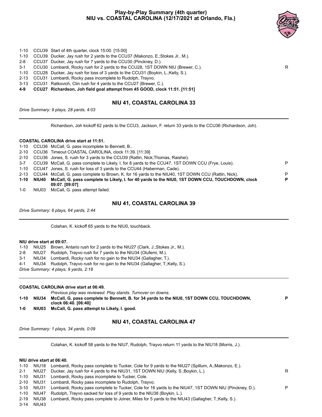#### **Play-by-Play Summary (4th quarter) NIU vs. COASTAL CAROLINA (12/17/2021 at Orlando, Fla.)**



- 1-10 CCU39 Start of 4th quarter, clock 15:00. [15:00]
- 1-10 CCU39 Ducker, Jay rush for 2 yards to the CCU37 (Makonzo, E.;Stokes Jr., M.).
- 2-8 CCU37 Ducker, Jay rush for 7 yards to the CCU30 (Pinckney, D.).
- 3-1 CCU30 Lombardi, Rocky rush for 2 yards to the CCU28, 1ST DOWN NIU (Brewer, C.). R
- 1-10 CCU28 Ducker, Jay rush for loss of 3 yards to the CCU31 (Boykin, L.;Kelly, S.).
- 2-13 CCU31 Lombardi, Rocky pass incomplete to Rudolph, Trayvo.
- 3-13 CCU31 Ratkovich, Clin rush for 4 yards to the CCU27 (Brewer, C.).
- **4-9 CCU27 Richardson, Joh field goal attempt from 45 GOOD, clock 11:51. [11:51]**

#### **NIU 41, COASTAL CAROLINA 33**

*Drive Summary: 9 plays, 28 yards, 4:03*

Richardson, Joh kickoff 62 yards to the CCU3, Jackson, F. return 33 yards to the CCU36 (Richardson, Joh).

#### **COASTAL CAROLINA drive start at 11:51.**

|         |            | 09:07. [09:07]                                                                                           |   |
|---------|------------|----------------------------------------------------------------------------------------------------------|---|
|         | 1-10 NIU40 | McCall, G. pass complete to Likely, I. for 40 yards to the NIU0, 1ST DOWN CCU, TOUCHDOWN, clock          | P |
|         |            | 2-13 CCU44 McCall, G. pass complete to Brown, K. for 16 yards to the NIU40, 1ST DOWN CCU (Rattin, Nick). | P |
|         |            | 1-10 CCU47 Jones, S. rush for loss of 3 yards to the CCU44 (Haberman, Cade).                             |   |
| $3 - 7$ |            | CCU39 McCall, G. pass complete to Likely, I. for 8 yards to the CCU47, 1ST DOWN CCU (Frye, Louis).       | P |
|         |            | 2-10 CCU36 Jones, S. rush for 3 yards to the CCU39 (Rattin, Nick; Thomas, Raishei).                      |   |
|         |            | 2-10 CCU36 Timeout COASTAL CAROLINA, clock 11:39. [11:39]                                                |   |
|         |            | 1-10 CCU36 McCall, G. pass incomplete to Bennett, B.                                                     |   |

1-0 NIU03 McCall, G. pass attempt failed.

#### **NIU 41, COASTAL CAROLINA 39**

*Drive Summary: 6 plays, 64 yards, 2:44*

Colahan, K. kickoff 65 yards to the NIU0, touchback.

#### **NIU drive start at 09:07.**

|  | 1-10 NIU25 Brown, Antario rush for 2 yards to the NIU27 (Clark, J.; Stokes Jr., M.). |
|--|--------------------------------------------------------------------------------------|
|  |                                                                                      |

2-8 NIU27 Rudolph, Trayvo rush for 7 yards to the NIU34 (Olufemi, M.).

- 3-1 NIU34 Lombardi, Rocky rush for no gain to the NIU34 (Gallagher, T.).
- 4-1 NIU34 Rudolph, Trayvo rush for no gain to the NIU34 (Gallagher, T.;Kelly, S.).

*Drive Summary: 4 plays, 9 yards, 2:18*

#### **COASTAL CAROLINA drive start at 06:49.**

- *Previous play was reviewed. Play stands. Turnover on downs.* **1-10 NIU34 McCall, G. pass complete to Bennett, B. for 34 yards to the NIU0, 1ST DOWN CCU, TOUCHDOWN, clock 06:40. [06:40] P**
- **1-0 NIU03 McCall, G. pass attempt to Likely, I. good.**

#### **NIU 41, COASTAL CAROLINA 47**

*Drive Summary: 1 plays, 34 yards, 0:09*

Colahan, K. kickoff 58 yards to the NIU7, Rudolph, Trayvo return 11 yards to the NIU18 (Morris, J.).

#### **NIU drive start at 06:40.**

|         |       | 1-10 NIU18 Lombardi, Rocky pass complete to Tucker, Cole for 9 yards to the NIU27 (Spillum, A.:Makonzo, E.).     |   |
|---------|-------|------------------------------------------------------------------------------------------------------------------|---|
| $2 - 1$ | NIU27 | Ducker, Jay rush for 4 yards to the NIU31, 1ST DOWN NIU (Kelly, S.; Boykin, L.).                                 | R |
|         |       | 1-10 NIU31 Lombardi, Rocky pass incomplete to Tucker, Cole.                                                      |   |
|         |       | 2-10 NIU31 Lombardi, Rocky pass incomplete to Rudolph, Trayvo.                                                   |   |
|         |       | 3-10 NIU31 Lombardi, Rocky pass complete to Tucker, Cole for 16 yards to the NIU47, 1ST DOWN NIU (Pinckney, D.). | P |
| 1-10    |       | NIU47 Rudolph, Trayvo sacked for loss of 9 yards to the NIU38 (Boykin, L.).                                      |   |
|         |       | 2-19 NIU38 Lombardi, Rocky pass complete to Joiner, Miles for 5 yards to the NIU43 (Gallagher, T.;Kelly, S.).    |   |
|         |       |                                                                                                                  |   |

3-14 NIU43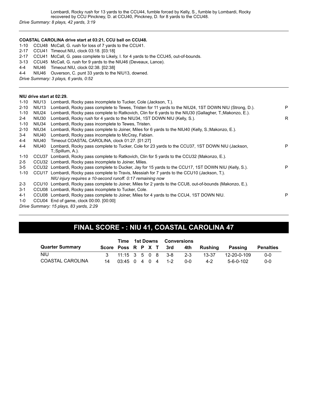#### **COASTAL CAROLINA drive start at 03:21, CCU ball on CCU48.**

1-10 CCU48 McCall, G. rush for loss of 7 yards to the CCU41.

- 2-17 CCU41 Timeout NIU, clock 03:18. [03:18]
- 2-17 CCU41 McCall, G. pass complete to Likely, I. for 4 yards to the CCU45, out-of-bounds.
- 3-13 CCU45 McCall, G. rush for 9 yards to the NIU46 (Deveaux, Lance).
- 4-4 NIU46 Timeout NIU, clock 02:38. [02:38]
- 4-4 NIU46 Ouverson, C. punt 33 yards to the NIU13, downed.

*Drive Summary: 3 plays, 6 yards, 0:52*

#### **NIU drive start at 02:29.**

| $1 - 10$ | NIU <sub>13</sub>                       | Lombardi, Rocky pass incomplete to Tucker, Cole (Jackson, T.).                                             |    |  |  |  |  |  |  |  |
|----------|-----------------------------------------|------------------------------------------------------------------------------------------------------------|----|--|--|--|--|--|--|--|
| $2 - 10$ | NIU <sub>13</sub>                       | Lombardi, Rocky pass complete to Tewes, Tristen for 11 yards to the NIU24, 1ST DOWN NIU (Strong, D.).      | P  |  |  |  |  |  |  |  |
| $1 - 10$ | NIU24                                   | Lombardi, Rocky pass complete to Ratkovich, Clin for 6 yards to the NIU30 (Gallagher, T.;Makonzo, E.).     |    |  |  |  |  |  |  |  |
| $2 - 4$  | NIU30                                   | Lombardi, Rocky rush for 4 yards to the NIU34, 1ST DOWN NIU (Kelly, S.).                                   | R. |  |  |  |  |  |  |  |
| $1 - 10$ | NIU34                                   | Lombardi, Rocky pass incomplete to Tewes, Tristen.                                                         |    |  |  |  |  |  |  |  |
| $2 - 10$ | NIU34                                   | Lombardi, Rocky pass complete to Joiner, Miles for 6 yards to the NIU40 (Kelly, S.; Makonzo, E.).          |    |  |  |  |  |  |  |  |
| $3 - 4$  | NIU40                                   | Lombardi, Rocky pass incomplete to McCray, Fabian.                                                         |    |  |  |  |  |  |  |  |
| 4-4      | NIU40                                   | Timeout COASTAL CAROLINA, clock 01:27. [01:27]                                                             |    |  |  |  |  |  |  |  |
| 4-4      | NIU40                                   | Lombardi, Rocky pass complete to Tucker, Cole for 23 yards to the CCU37, 1ST DOWN NIU (Jackson,            | P  |  |  |  |  |  |  |  |
|          |                                         | T.;Spillum, A.).                                                                                           |    |  |  |  |  |  |  |  |
| $1 - 10$ |                                         | CCU37 Lombardi, Rocky pass complete to Ratkovich, Clin for 5 yards to the CCU32 (Makonzo, E.).             |    |  |  |  |  |  |  |  |
| $2 - 5$  |                                         | CCU32 Lombardi, Rocky pass incomplete to Joiner, Miles.                                                    |    |  |  |  |  |  |  |  |
| $3 - 5$  |                                         | CCU32 Lombardi, Rocky pass complete to Ducker, Jay for 15 yards to the CCU17, 1ST DOWN NIU (Kelly, S.).    | P  |  |  |  |  |  |  |  |
| $1 - 10$ |                                         | CCU17 Lombardi, Rocky pass complete to Travis, Messiah for 7 yards to the CCU10 (Jackson, T.).             |    |  |  |  |  |  |  |  |
|          |                                         | NIU injury requires a 10-second runoff. 0:17 remaining now                                                 |    |  |  |  |  |  |  |  |
| $2 - 3$  |                                         | CCU10 Lombardi, Rocky pass complete to Joiner, Miles for 2 yards to the CCU8, out-of-bounds (Makonzo, E.). |    |  |  |  |  |  |  |  |
| $3 - 1$  |                                         | CCU08 Lombardi, Rocky pass incomplete to Tucker, Cole.                                                     |    |  |  |  |  |  |  |  |
| $4 - 1$  |                                         | CCU08 Lombardi, Rocky pass complete to Joiner, Miles for 4 yards to the CCU4, 1ST DOWN NIU.                | P  |  |  |  |  |  |  |  |
| $1-0$    |                                         | CCU04 End of game, clock 00:00. [00:00]                                                                    |    |  |  |  |  |  |  |  |
|          | Drive Summary: 15 plays, 83 yards, 2:29 |                                                                                                            |    |  |  |  |  |  |  |  |
|          |                                         |                                                                                                            |    |  |  |  |  |  |  |  |

### **FINAL SCORE - : NIU 41, COASTAL CAROLINA 47**

|                        |                      |  |  | Time 1st Downs Conversions |                         |     |                                    |             |           |
|------------------------|----------------------|--|--|----------------------------|-------------------------|-----|------------------------------------|-------------|-----------|
| <b>Quarter Summary</b> |                      |  |  |                            |                         |     | Score Poss R P X T 3rd 4th Rushing | Passing     | Penalties |
| NIU.                   |                      |  |  |                            | 3 11:15 3 5 0 8 3-8 2-3 |     | 13-37                              | 12-20-0-109 | $0 - 0$   |
| COASTAL CAROLINA       | 14 03:45 0 4 0 4 1-2 |  |  |                            |                         | ი-ი | $4-2$                              | 5-6-0-102   | $0 - 0$   |